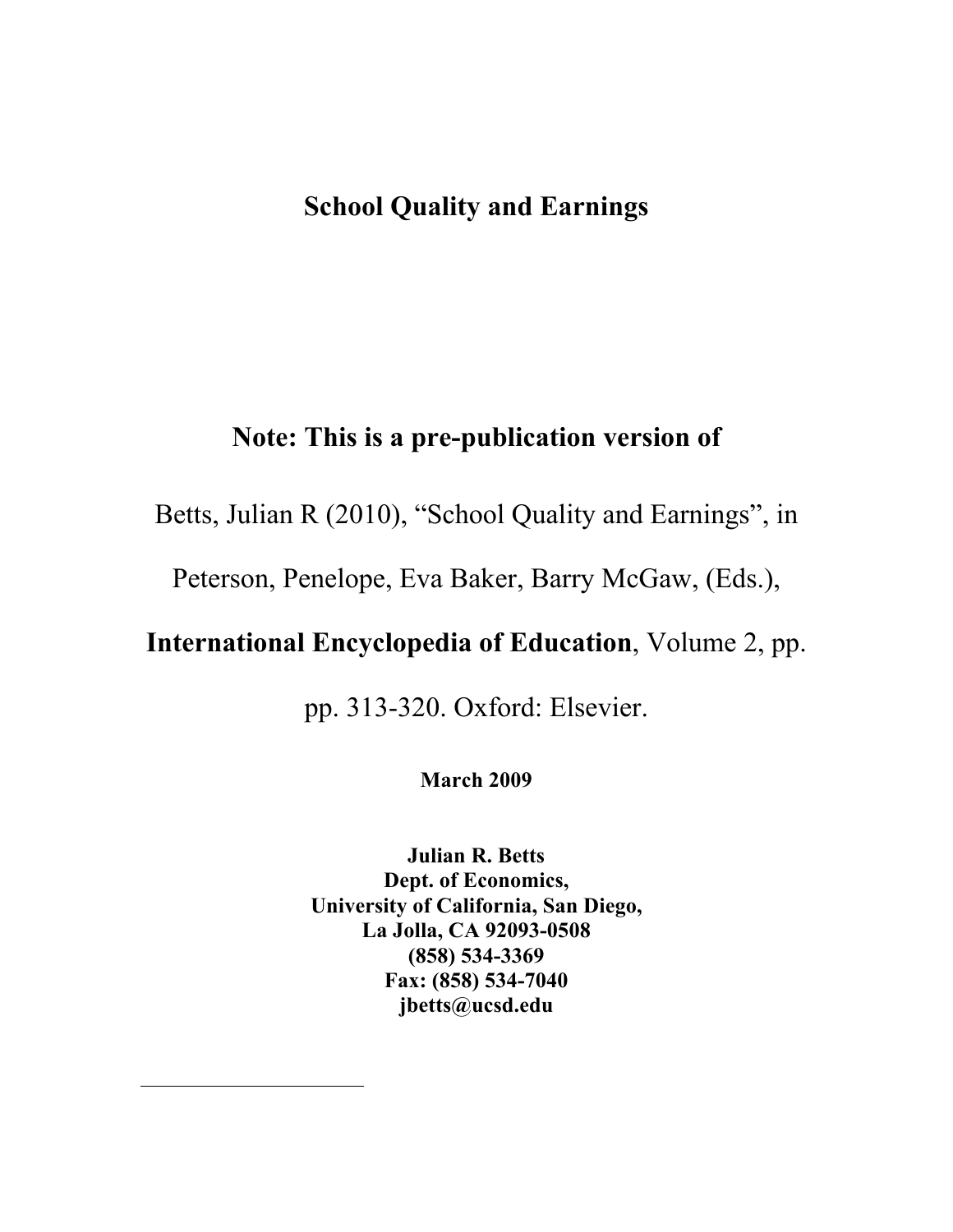# **School Quality and Earnings**

# **Note: This is a pre-publication version of**

Betts, Julian R (2010), "School Quality and Earnings", in

Peterson, Penelope, Eva Baker, Barry McGaw, (Eds.),

# **International Encyclopedia of Education**, Volume 2, pp.

pp. 313-320. Oxford: Elsevier.

**March 2009**

**Julian R. Betts Dept. of Economics, University of California, San Diego, La Jolla, CA 92093-0508 (858) 534-3369 Fax: (858) 534-7040 jbetts@ucsd.edu**

 $\overline{a}$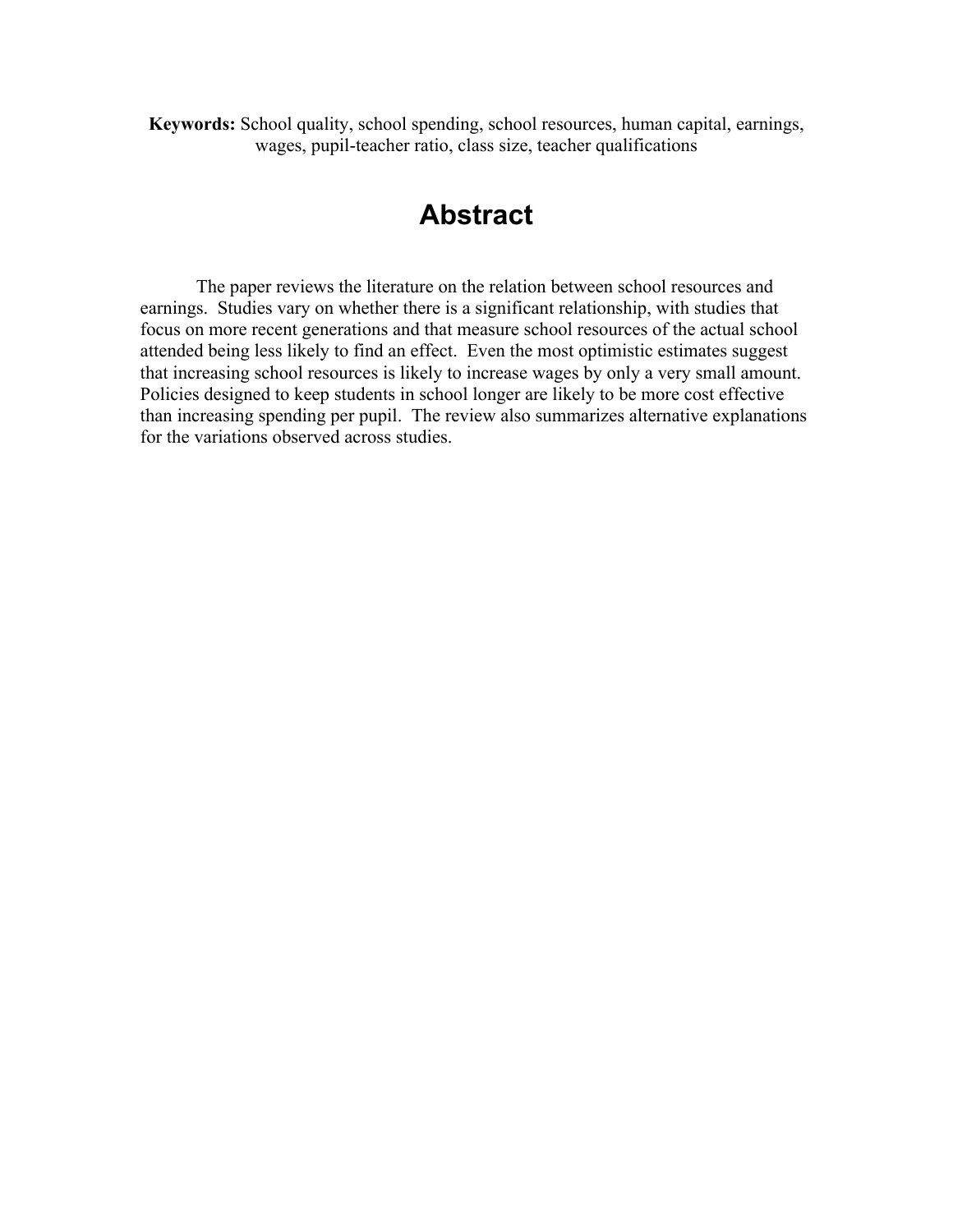**Keywords:** School quality, school spending, school resources, human capital, earnings, wages, pupil-teacher ratio, class size, teacher qualifications

# **Abstract**

The paper reviews the literature on the relation between school resources and earnings. Studies vary on whether there is a significant relationship, with studies that focus on more recent generations and that measure school resources of the actual school attended being less likely to find an effect. Even the most optimistic estimates suggest that increasing school resources is likely to increase wages by only a very small amount. Policies designed to keep students in school longer are likely to be more cost effective than increasing spending per pupil. The review also summarizes alternative explanations for the variations observed across studies.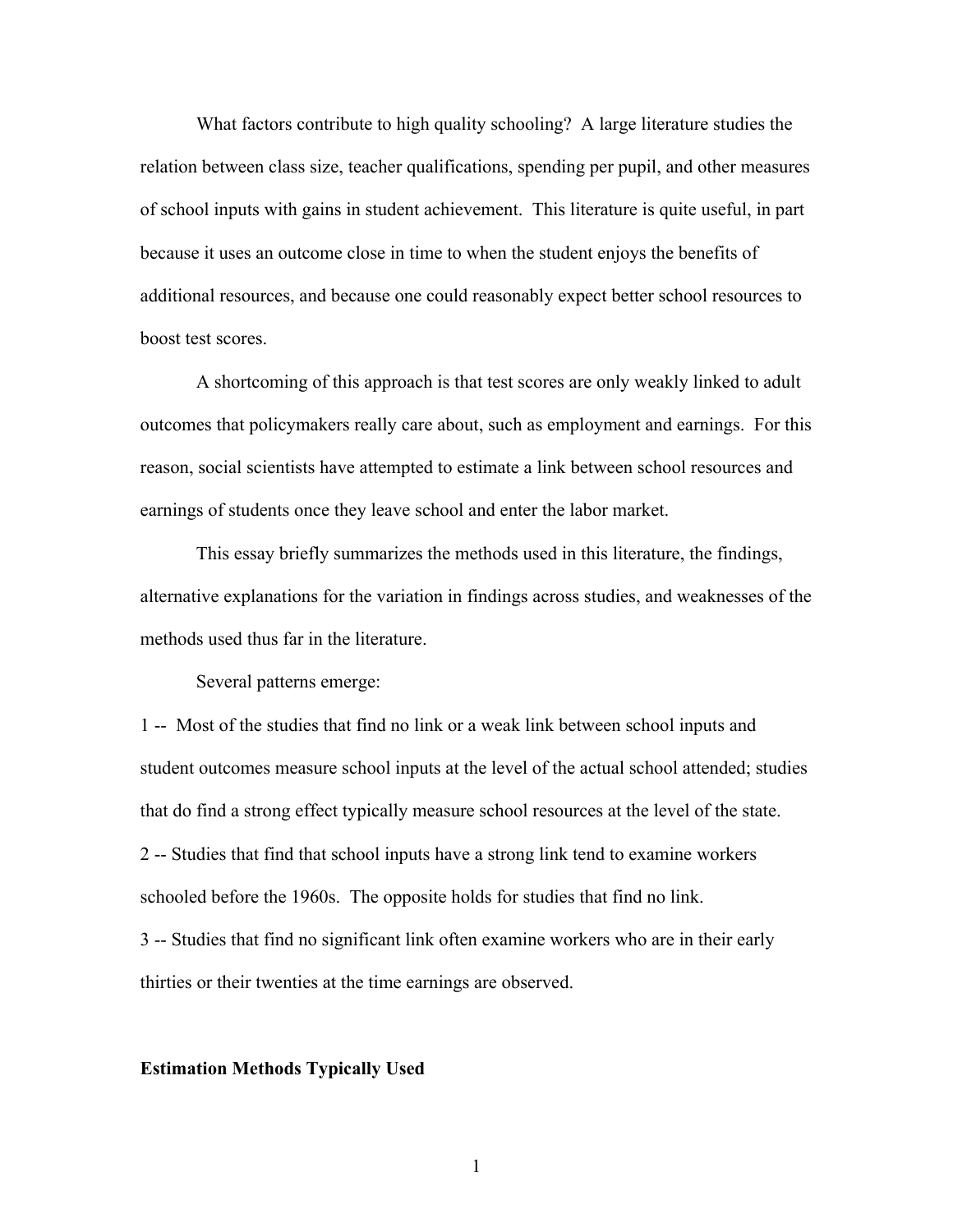What factors contribute to high quality schooling? A large literature studies the relation between class size, teacher qualifications, spending per pupil, and other measures of school inputs with gains in student achievement. This literature is quite useful, in part because it uses an outcome close in time to when the student enjoys the benefits of additional resources, and because one could reasonably expect better school resources to boost test scores.

A shortcoming of this approach is that test scores are only weakly linked to adult outcomes that policymakers really care about, such as employment and earnings. For this reason, social scientists have attempted to estimate a link between school resources and earnings of students once they leave school and enter the labor market.

This essay briefly summarizes the methods used in this literature, the findings, alternative explanations for the variation in findings across studies, and weaknesses of the methods used thus far in the literature.

Several patterns emerge:

1 -- Most of the studies that find no link or a weak link between school inputs and student outcomes measure school inputs at the level of the actual school attended; studies that do find a strong effect typically measure school resources at the level of the state. 2 -- Studies that find that school inputs have a strong link tend to examine workers schooled before the 1960s. The opposite holds for studies that find no link. 3 -- Studies that find no significant link often examine workers who are in their early thirties or their twenties at the time earnings are observed.

### **Estimation Methods Typically Used**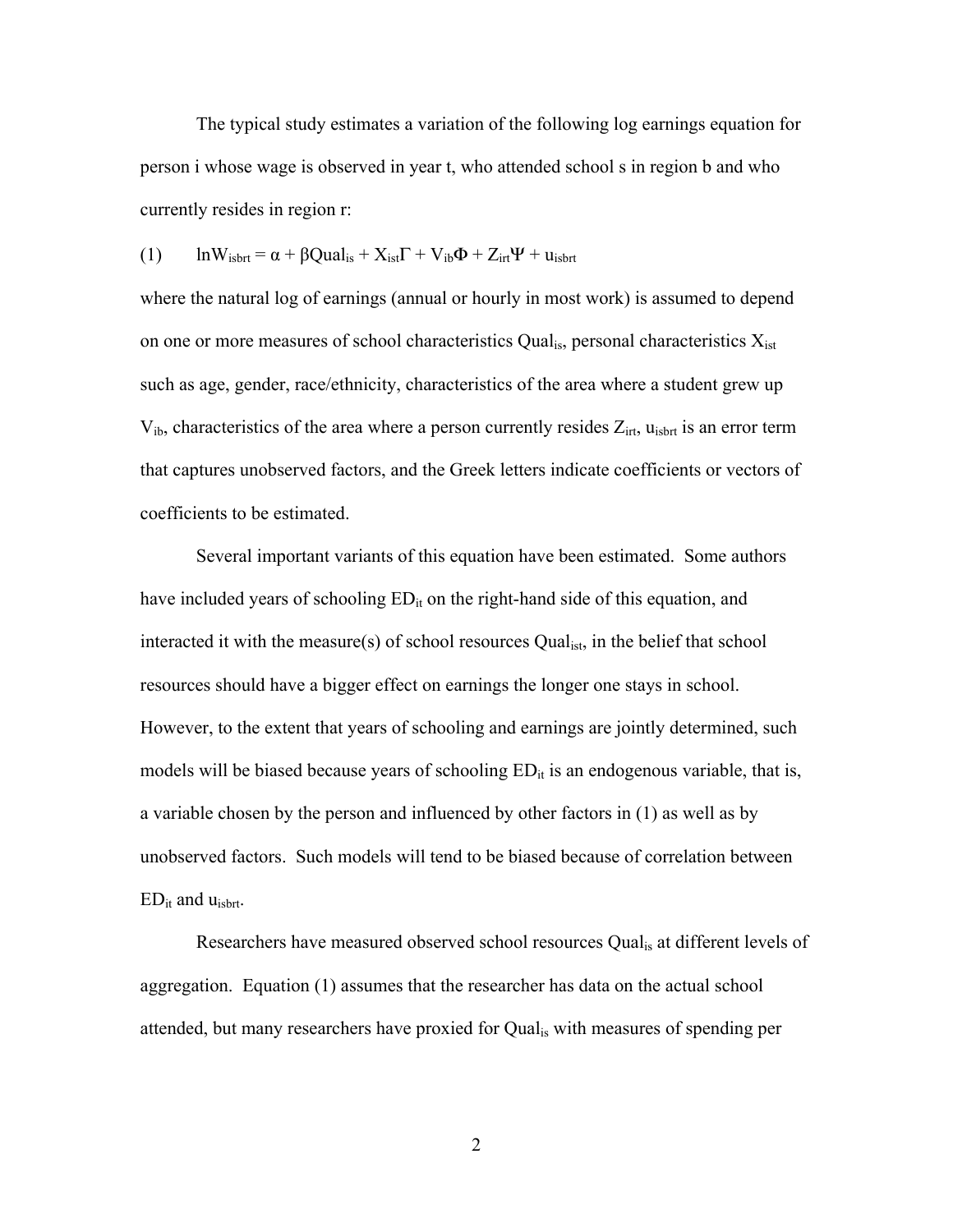The typical study estimates a variation of the following log earnings equation for person i whose wage is observed in year t, who attended school s in region b and who currently resides in region r:

(1) 
$$
\ln W_{isbrt} = \alpha + \beta Qual_{is} + X_{ist}\Gamma + V_{ib}\Phi + Z_{irt}\Psi + u_{isbrt}
$$

where the natural log of earnings (annual or hourly in most work) is assumed to depend on one or more measures of school characteristics Qual<sub>is</sub>, personal characteristics  $X_{\text{ist}}$ such as age, gender, race/ethnicity, characteristics of the area where a student grew up  $V_{ib}$ , characteristics of the area where a person currently resides  $Z_{irt}$ ,  $u_{isbrt}$  is an error term that captures unobserved factors, and the Greek letters indicate coefficients or vectors of coefficients to be estimated.

Several important variants of this equation have been estimated. Some authors have included years of schooling  $ED_{it}$  on the right-hand side of this equation, and interacted it with the measure(s) of school resources Qual<sub>ist</sub>, in the belief that school resources should have a bigger effect on earnings the longer one stays in school. However, to the extent that years of schooling and earnings are jointly determined, such models will be biased because years of schooling  $ED_{it}$  is an endogenous variable, that is, a variable chosen by the person and influenced by other factors in (1) as well as by unobserved factors. Such models will tend to be biased because of correlation between  $ED_{it}$  and  $u_{isbrt}$ .

Researchers have measured observed school resources Qual<sub>is</sub> at different levels of aggregation. Equation (1) assumes that the researcher has data on the actual school attended, but many researchers have proxied for Qualis with measures of spending per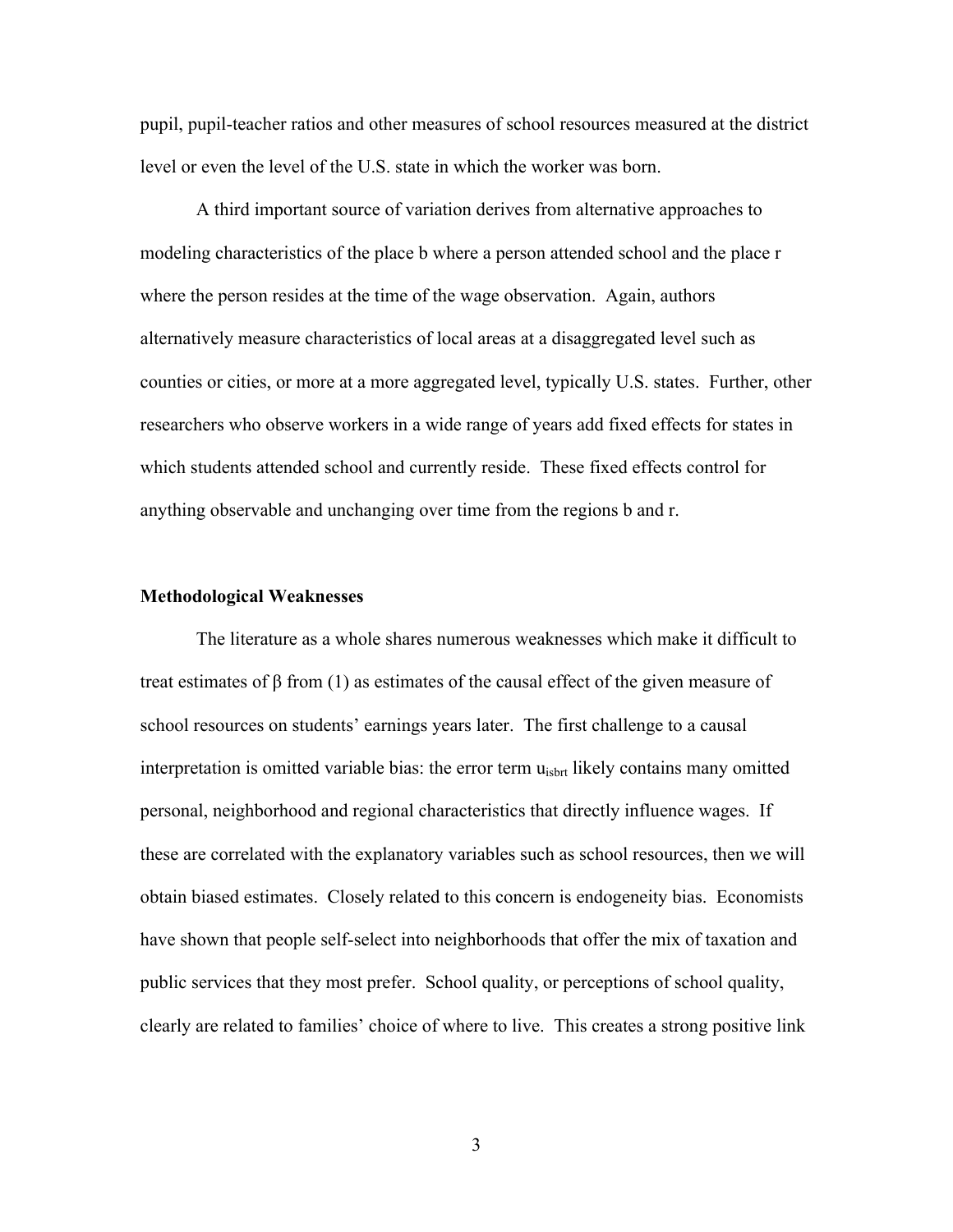pupil, pupil-teacher ratios and other measures of school resources measured at the district level or even the level of the U.S. state in which the worker was born.

A third important source of variation derives from alternative approaches to modeling characteristics of the place b where a person attended school and the place r where the person resides at the time of the wage observation. Again, authors alternatively measure characteristics of local areas at a disaggregated level such as counties or cities, or more at a more aggregated level, typically U.S. states. Further, other researchers who observe workers in a wide range of years add fixed effects for states in which students attended school and currently reside. These fixed effects control for anything observable and unchanging over time from the regions b and r.

#### **Methodological Weaknesses**

The literature as a whole shares numerous weaknesses which make it difficult to treat estimates of β from (1) as estimates of the causal effect of the given measure of school resources on students' earnings years later. The first challenge to a causal interpretation is omitted variable bias: the error term  $u_{isbrt}$  likely contains many omitted personal, neighborhood and regional characteristics that directly influence wages. If these are correlated with the explanatory variables such as school resources, then we will obtain biased estimates. Closely related to this concern is endogeneity bias. Economists have shown that people self-select into neighborhoods that offer the mix of taxation and public services that they most prefer. School quality, or perceptions of school quality, clearly are related to families' choice of where to live. This creates a strong positive link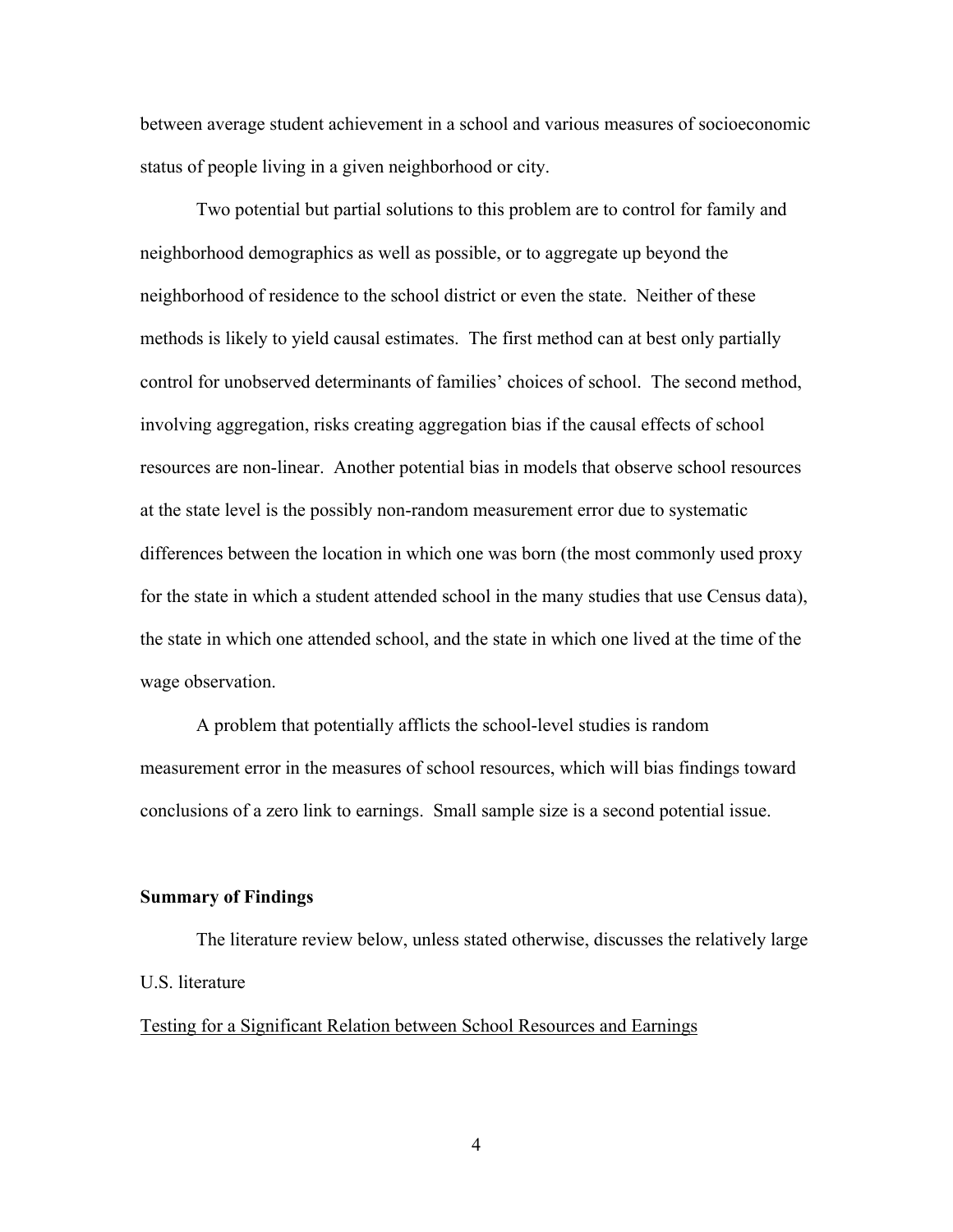between average student achievement in a school and various measures of socioeconomic status of people living in a given neighborhood or city.

Two potential but partial solutions to this problem are to control for family and neighborhood demographics as well as possible, or to aggregate up beyond the neighborhood of residence to the school district or even the state. Neither of these methods is likely to yield causal estimates. The first method can at best only partially control for unobserved determinants of families' choices of school. The second method, involving aggregation, risks creating aggregation bias if the causal effects of school resources are non-linear. Another potential bias in models that observe school resources at the state level is the possibly non-random measurement error due to systematic differences between the location in which one was born (the most commonly used proxy for the state in which a student attended school in the many studies that use Census data), the state in which one attended school, and the state in which one lived at the time of the wage observation.

A problem that potentially afflicts the school-level studies is random measurement error in the measures of school resources, which will bias findings toward conclusions of a zero link to earnings. Small sample size is a second potential issue.

## **Summary of Findings**

The literature review below, unless stated otherwise, discusses the relatively large U.S. literature

## Testing for a Significant Relation between School Resources and Earnings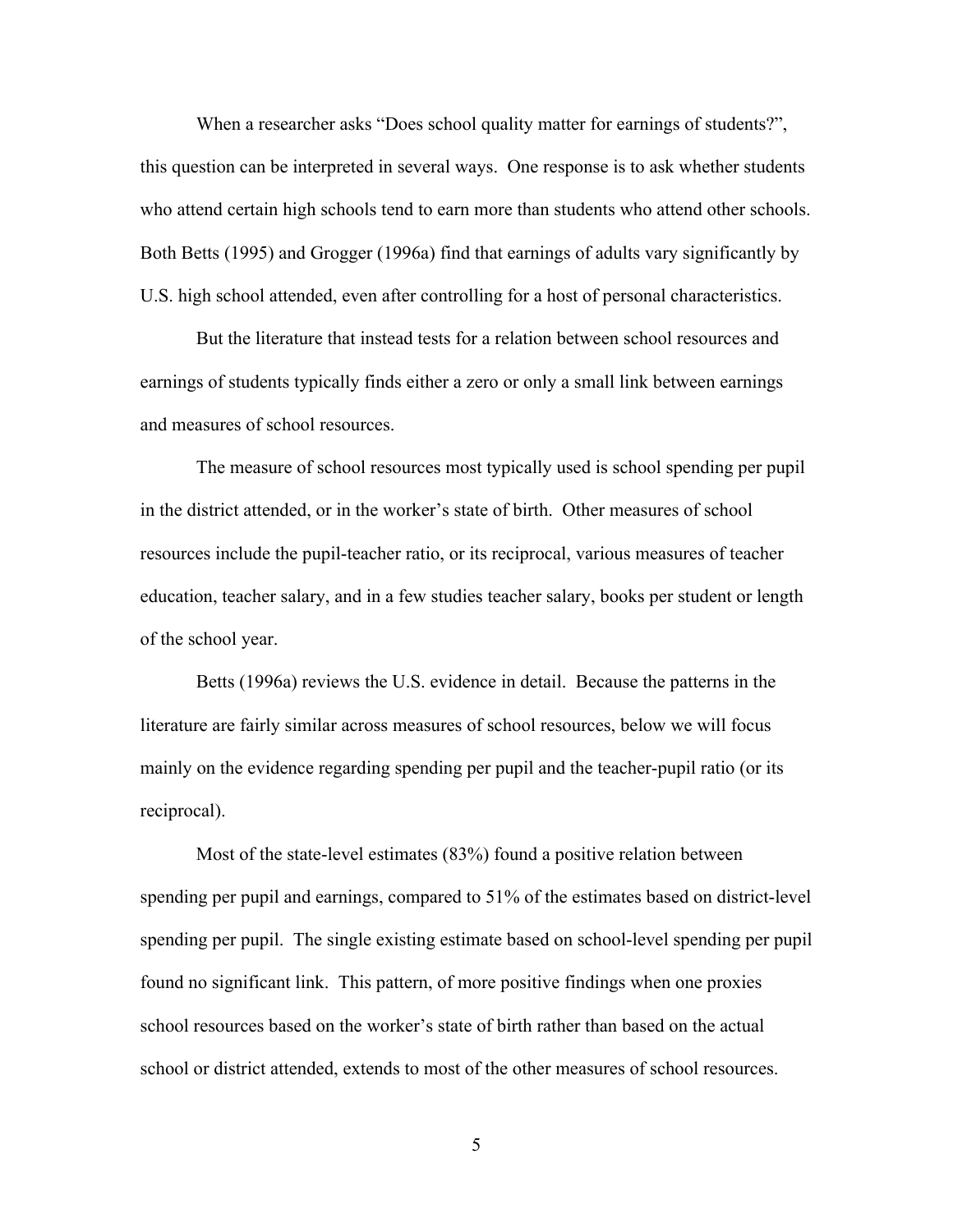When a researcher asks "Does school quality matter for earnings of students?", this question can be interpreted in several ways. One response is to ask whether students who attend certain high schools tend to earn more than students who attend other schools. Both Betts (1995) and Grogger (1996a) find that earnings of adults vary significantly by U.S. high school attended, even after controlling for a host of personal characteristics.

But the literature that instead tests for a relation between school resources and earnings of students typically finds either a zero or only a small link between earnings and measures of school resources.

The measure of school resources most typically used is school spending per pupil in the district attended, or in the worker's state of birth. Other measures of school resources include the pupil-teacher ratio, or its reciprocal, various measures of teacher education, teacher salary, and in a few studies teacher salary, books per student or length of the school year.

Betts (1996a) reviews the U.S. evidence in detail. Because the patterns in the literature are fairly similar across measures of school resources, below we will focus mainly on the evidence regarding spending per pupil and the teacher-pupil ratio (or its reciprocal).

Most of the state-level estimates (83%) found a positive relation between spending per pupil and earnings, compared to 51% of the estimates based on district-level spending per pupil. The single existing estimate based on school-level spending per pupil found no significant link. This pattern, of more positive findings when one proxies school resources based on the worker's state of birth rather than based on the actual school or district attended, extends to most of the other measures of school resources.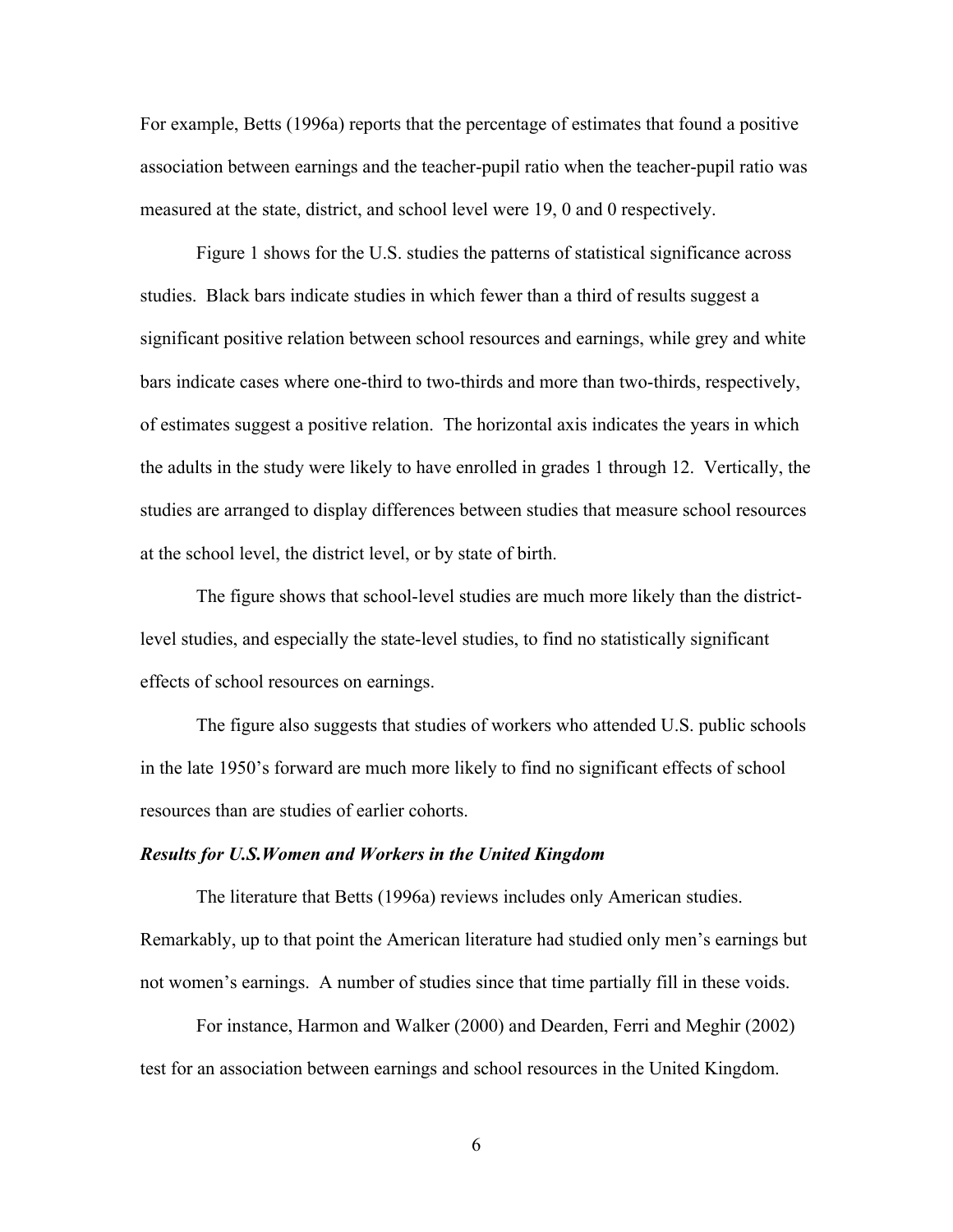For example, Betts (1996a) reports that the percentage of estimates that found a positive association between earnings and the teacher-pupil ratio when the teacher-pupil ratio was measured at the state, district, and school level were 19, 0 and 0 respectively.

Figure 1 shows for the U.S. studies the patterns of statistical significance across studies. Black bars indicate studies in which fewer than a third of results suggest a significant positive relation between school resources and earnings, while grey and white bars indicate cases where one-third to two-thirds and more than two-thirds, respectively, of estimates suggest a positive relation. The horizontal axis indicates the years in which the adults in the study were likely to have enrolled in grades 1 through 12. Vertically, the studies are arranged to display differences between studies that measure school resources at the school level, the district level, or by state of birth.

The figure shows that school-level studies are much more likely than the districtlevel studies, and especially the state-level studies, to find no statistically significant effects of school resources on earnings.

The figure also suggests that studies of workers who attended U.S. public schools in the late 1950's forward are much more likely to find no significant effects of school resources than are studies of earlier cohorts.

#### *Results for U.S.Women and Workers in the United Kingdom*

The literature that Betts (1996a) reviews includes only American studies. Remarkably, up to that point the American literature had studied only men's earnings but not women's earnings. A number of studies since that time partially fill in these voids.

For instance, Harmon and Walker (2000) and Dearden, Ferri and Meghir (2002) test for an association between earnings and school resources in the United Kingdom.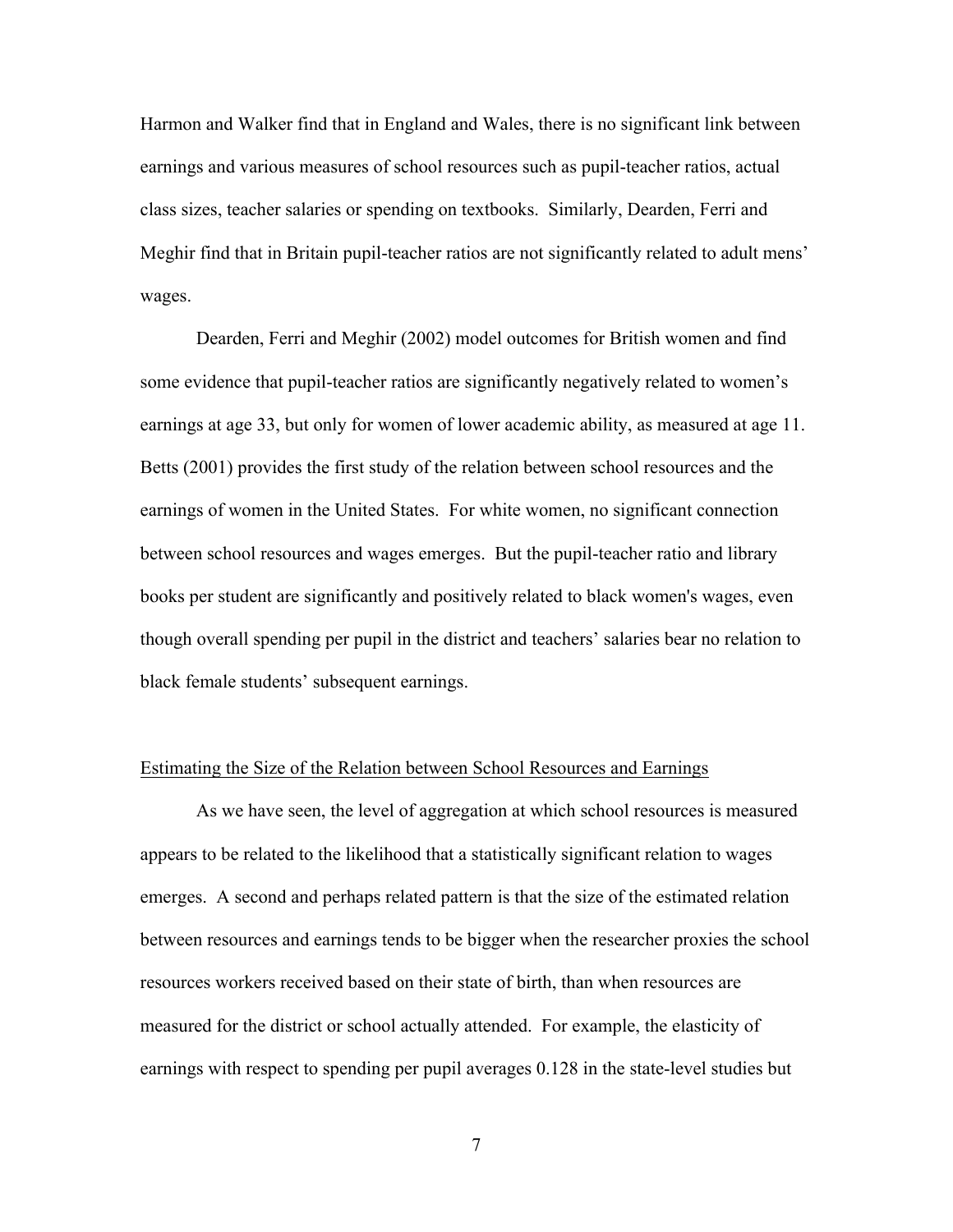Harmon and Walker find that in England and Wales, there is no significant link between earnings and various measures of school resources such as pupil-teacher ratios, actual class sizes, teacher salaries or spending on textbooks. Similarly, Dearden, Ferri and Meghir find that in Britain pupil-teacher ratios are not significantly related to adult mens' wages.

Dearden, Ferri and Meghir (2002) model outcomes for British women and find some evidence that pupil-teacher ratios are significantly negatively related to women's earnings at age 33, but only for women of lower academic ability, as measured at age 11. Betts (2001) provides the first study of the relation between school resources and the earnings of women in the United States. For white women, no significant connection between school resources and wages emerges. But the pupil-teacher ratio and library books per student are significantly and positively related to black women's wages, even though overall spending per pupil in the district and teachers' salaries bear no relation to black female students' subsequent earnings.

### Estimating the Size of the Relation between School Resources and Earnings

As we have seen, the level of aggregation at which school resources is measured appears to be related to the likelihood that a statistically significant relation to wages emerges. A second and perhaps related pattern is that the size of the estimated relation between resources and earnings tends to be bigger when the researcher proxies the school resources workers received based on their state of birth, than when resources are measured for the district or school actually attended. For example, the elasticity of earnings with respect to spending per pupil averages 0.128 in the state-level studies but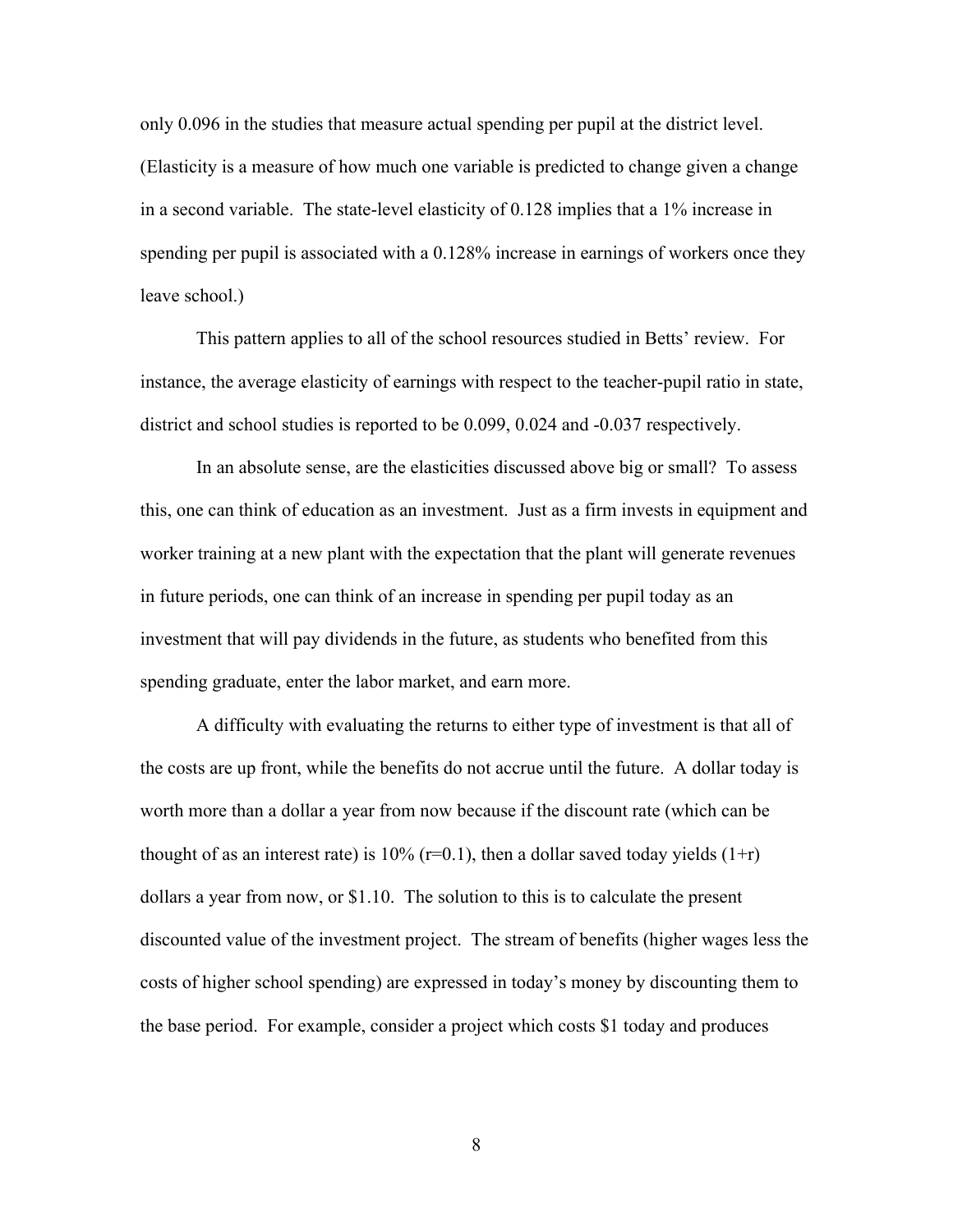only 0.096 in the studies that measure actual spending per pupil at the district level. (Elasticity is a measure of how much one variable is predicted to change given a change in a second variable. The state-level elasticity of 0.128 implies that a 1% increase in spending per pupil is associated with a 0.128% increase in earnings of workers once they leave school.)

This pattern applies to all of the school resources studied in Betts' review. For instance, the average elasticity of earnings with respect to the teacher-pupil ratio in state, district and school studies is reported to be 0.099, 0.024 and -0.037 respectively.

In an absolute sense, are the elasticities discussed above big or small? To assess this, one can think of education as an investment. Just as a firm invests in equipment and worker training at a new plant with the expectation that the plant will generate revenues in future periods, one can think of an increase in spending per pupil today as an investment that will pay dividends in the future, as students who benefited from this spending graduate, enter the labor market, and earn more.

A difficulty with evaluating the returns to either type of investment is that all of the costs are up front, while the benefits do not accrue until the future. A dollar today is worth more than a dollar a year from now because if the discount rate (which can be thought of as an interest rate) is 10% ( $r=0.1$ ), then a dollar saved today yields ( $1+r$ ) dollars a year from now, or \$1.10. The solution to this is to calculate the present discounted value of the investment project. The stream of benefits (higher wages less the costs of higher school spending) are expressed in today's money by discounting them to the base period. For example, consider a project which costs \$1 today and produces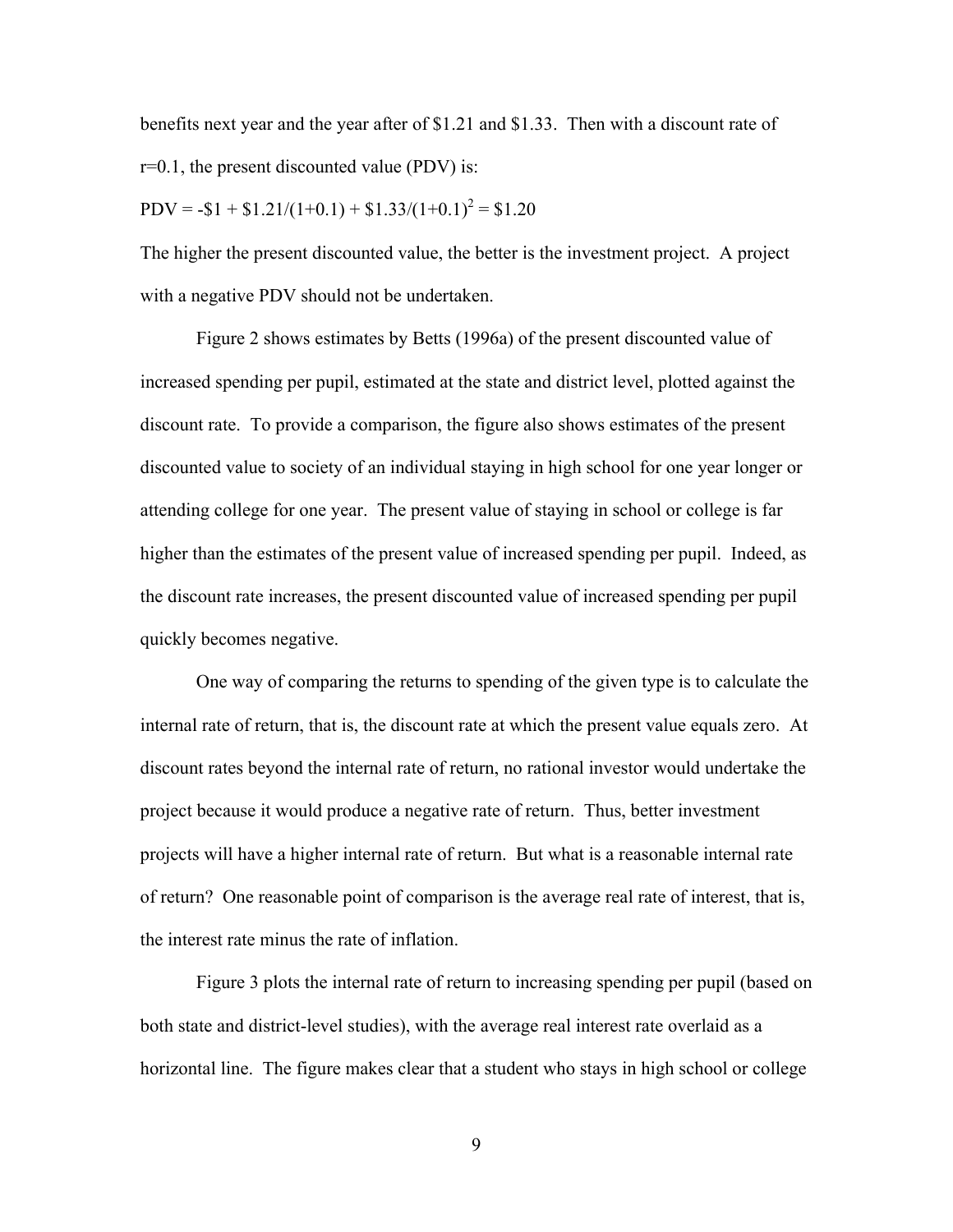benefits next year and the year after of \$1.21 and \$1.33. Then with a discount rate of  $r=0.1$ , the present discounted value (PDV) is:

$$
PDV = -\$1 + \$1.21/(1+0.1) + \$1.33/(1+0.1)^{2} = \$1.20
$$

The higher the present discounted value, the better is the investment project. A project with a negative PDV should not be undertaken.

Figure 2 shows estimates by Betts (1996a) of the present discounted value of increased spending per pupil, estimated at the state and district level, plotted against the discount rate. To provide a comparison, the figure also shows estimates of the present discounted value to society of an individual staying in high school for one year longer or attending college for one year. The present value of staying in school or college is far higher than the estimates of the present value of increased spending per pupil. Indeed, as the discount rate increases, the present discounted value of increased spending per pupil quickly becomes negative.

One way of comparing the returns to spending of the given type is to calculate the internal rate of return, that is, the discount rate at which the present value equals zero. At discount rates beyond the internal rate of return, no rational investor would undertake the project because it would produce a negative rate of return. Thus, better investment projects will have a higher internal rate of return. But what is a reasonable internal rate of return? One reasonable point of comparison is the average real rate of interest, that is, the interest rate minus the rate of inflation.

Figure 3 plots the internal rate of return to increasing spending per pupil (based on both state and district-level studies), with the average real interest rate overlaid as a horizontal line. The figure makes clear that a student who stays in high school or college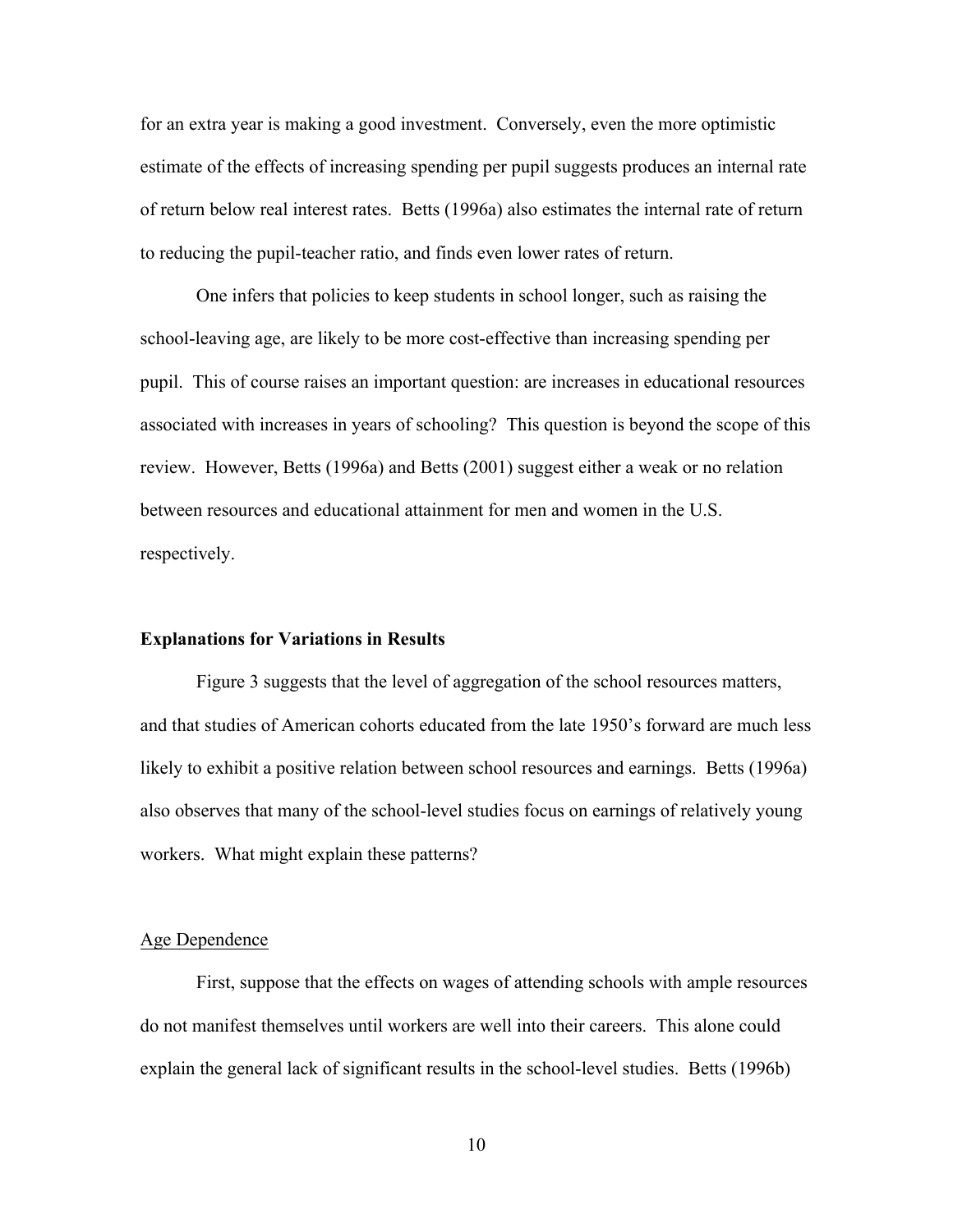for an extra year is making a good investment. Conversely, even the more optimistic estimate of the effects of increasing spending per pupil suggests produces an internal rate of return below real interest rates. Betts (1996a) also estimates the internal rate of return to reducing the pupil-teacher ratio, and finds even lower rates of return.

One infers that policies to keep students in school longer, such as raising the school-leaving age, are likely to be more cost-effective than increasing spending per pupil. This of course raises an important question: are increases in educational resources associated with increases in years of schooling? This question is beyond the scope of this review. However, Betts (1996a) and Betts (2001) suggest either a weak or no relation between resources and educational attainment for men and women in the U.S. respectively.

### **Explanations for Variations in Results**

Figure 3 suggests that the level of aggregation of the school resources matters, and that studies of American cohorts educated from the late 1950's forward are much less likely to exhibit a positive relation between school resources and earnings. Betts (1996a) also observes that many of the school-level studies focus on earnings of relatively young workers. What might explain these patterns?

## Age Dependence

First, suppose that the effects on wages of attending schools with ample resources do not manifest themselves until workers are well into their careers. This alone could explain the general lack of significant results in the school-level studies. Betts (1996b)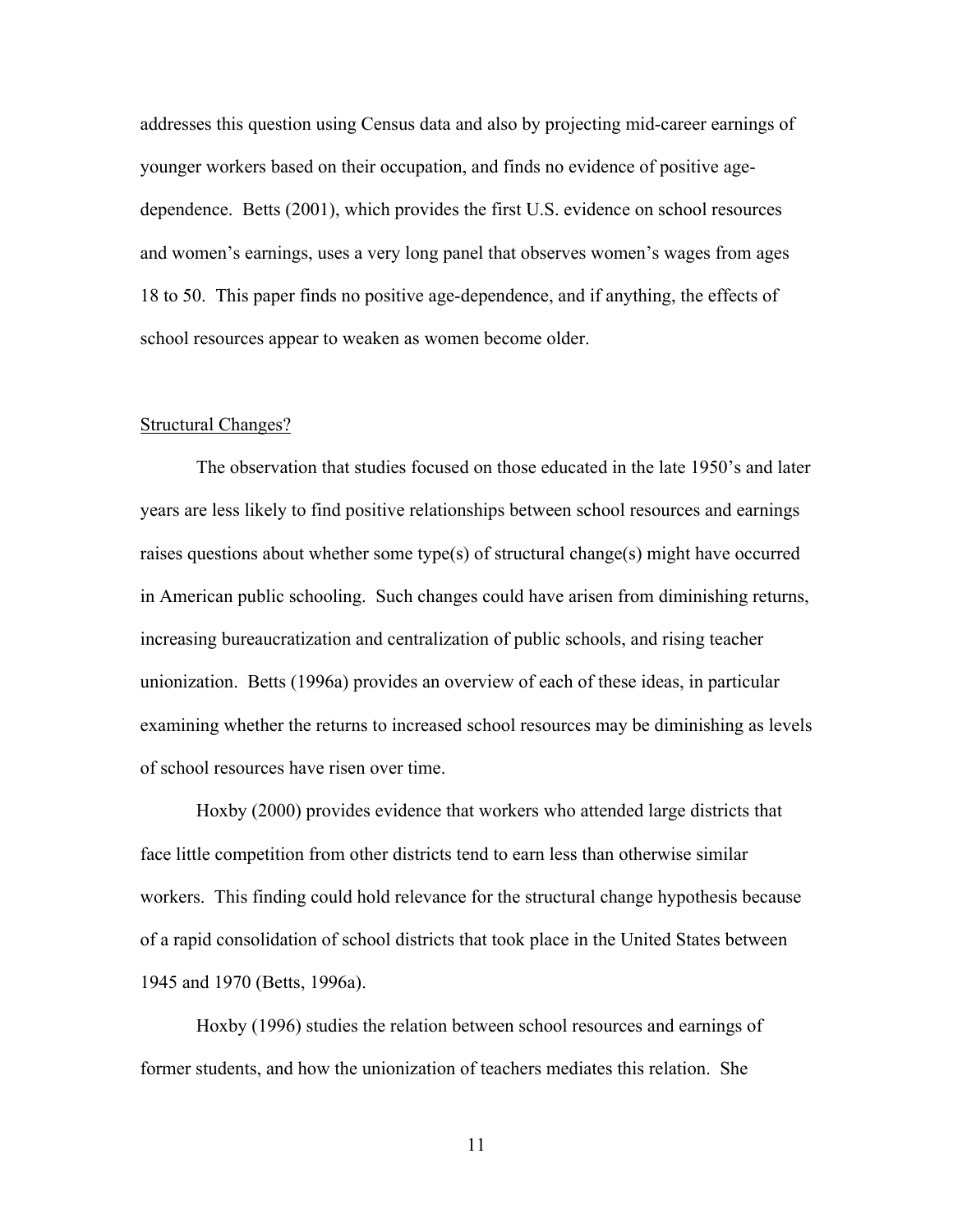addresses this question using Census data and also by projecting mid-career earnings of younger workers based on their occupation, and finds no evidence of positive agedependence. Betts (2001), which provides the first U.S. evidence on school resources and women's earnings, uses a very long panel that observes women's wages from ages 18 to 50. This paper finds no positive age-dependence, and if anything, the effects of school resources appear to weaken as women become older.

### Structural Changes?

The observation that studies focused on those educated in the late 1950's and later years are less likely to find positive relationships between school resources and earnings raises questions about whether some type(s) of structural change(s) might have occurred in American public schooling. Such changes could have arisen from diminishing returns, increasing bureaucratization and centralization of public schools, and rising teacher unionization. Betts (1996a) provides an overview of each of these ideas, in particular examining whether the returns to increased school resources may be diminishing as levels of school resources have risen over time.

Hoxby (2000) provides evidence that workers who attended large districts that face little competition from other districts tend to earn less than otherwise similar workers. This finding could hold relevance for the structural change hypothesis because of a rapid consolidation of school districts that took place in the United States between 1945 and 1970 (Betts, 1996a).

Hoxby (1996) studies the relation between school resources and earnings of former students, and how the unionization of teachers mediates this relation. She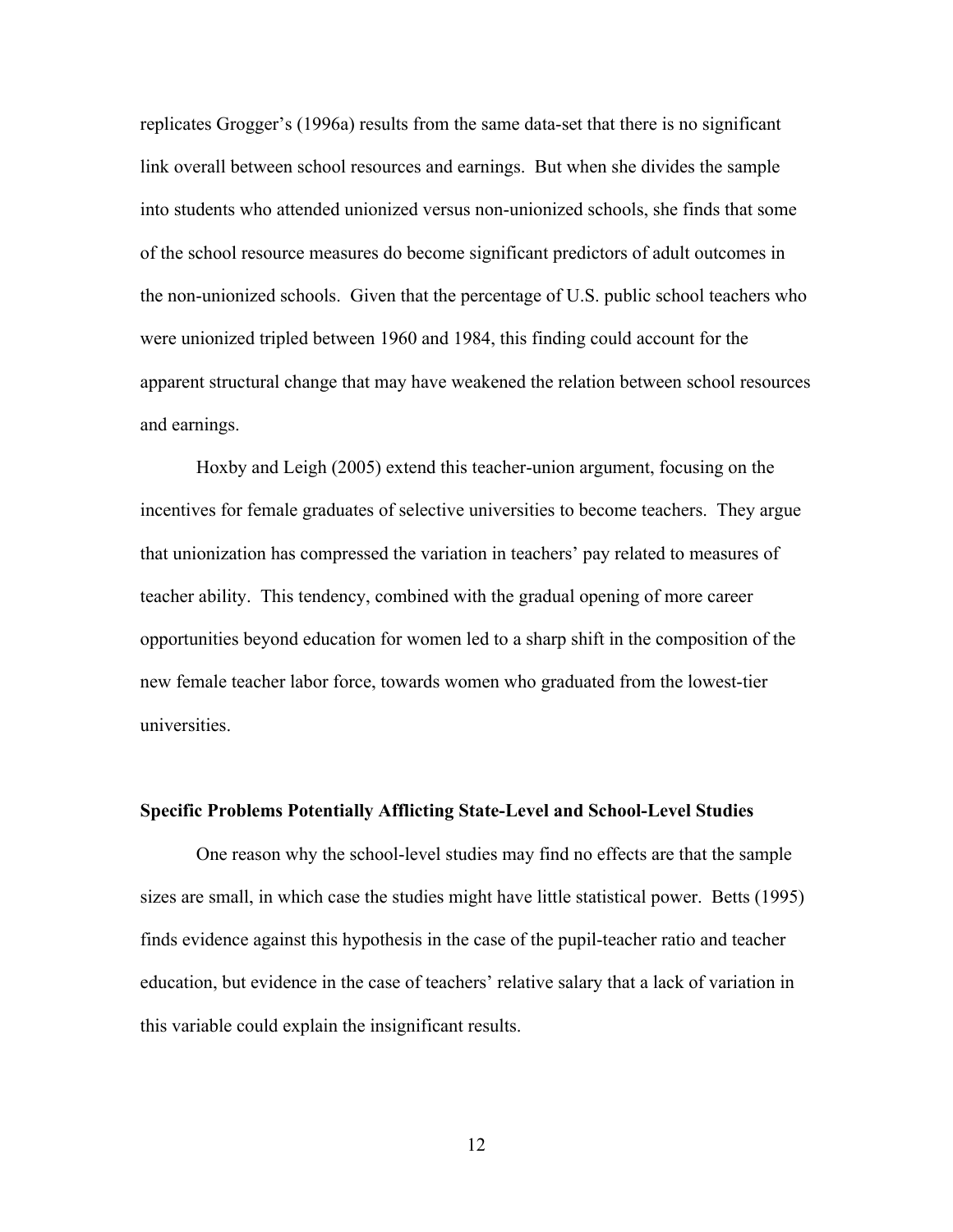replicates Grogger's (1996a) results from the same data-set that there is no significant link overall between school resources and earnings. But when she divides the sample into students who attended unionized versus non-unionized schools, she finds that some of the school resource measures do become significant predictors of adult outcomes in the non-unionized schools. Given that the percentage of U.S. public school teachers who were unionized tripled between 1960 and 1984, this finding could account for the apparent structural change that may have weakened the relation between school resources and earnings.

Hoxby and Leigh (2005) extend this teacher-union argument, focusing on the incentives for female graduates of selective universities to become teachers. They argue that unionization has compressed the variation in teachers' pay related to measures of teacher ability. This tendency, combined with the gradual opening of more career opportunities beyond education for women led to a sharp shift in the composition of the new female teacher labor force, towards women who graduated from the lowest-tier universities.

#### **Specific Problems Potentially Afflicting State-Level and School-Level Studies**

One reason why the school-level studies may find no effects are that the sample sizes are small, in which case the studies might have little statistical power. Betts (1995) finds evidence against this hypothesis in the case of the pupil-teacher ratio and teacher education, but evidence in the case of teachers' relative salary that a lack of variation in this variable could explain the insignificant results.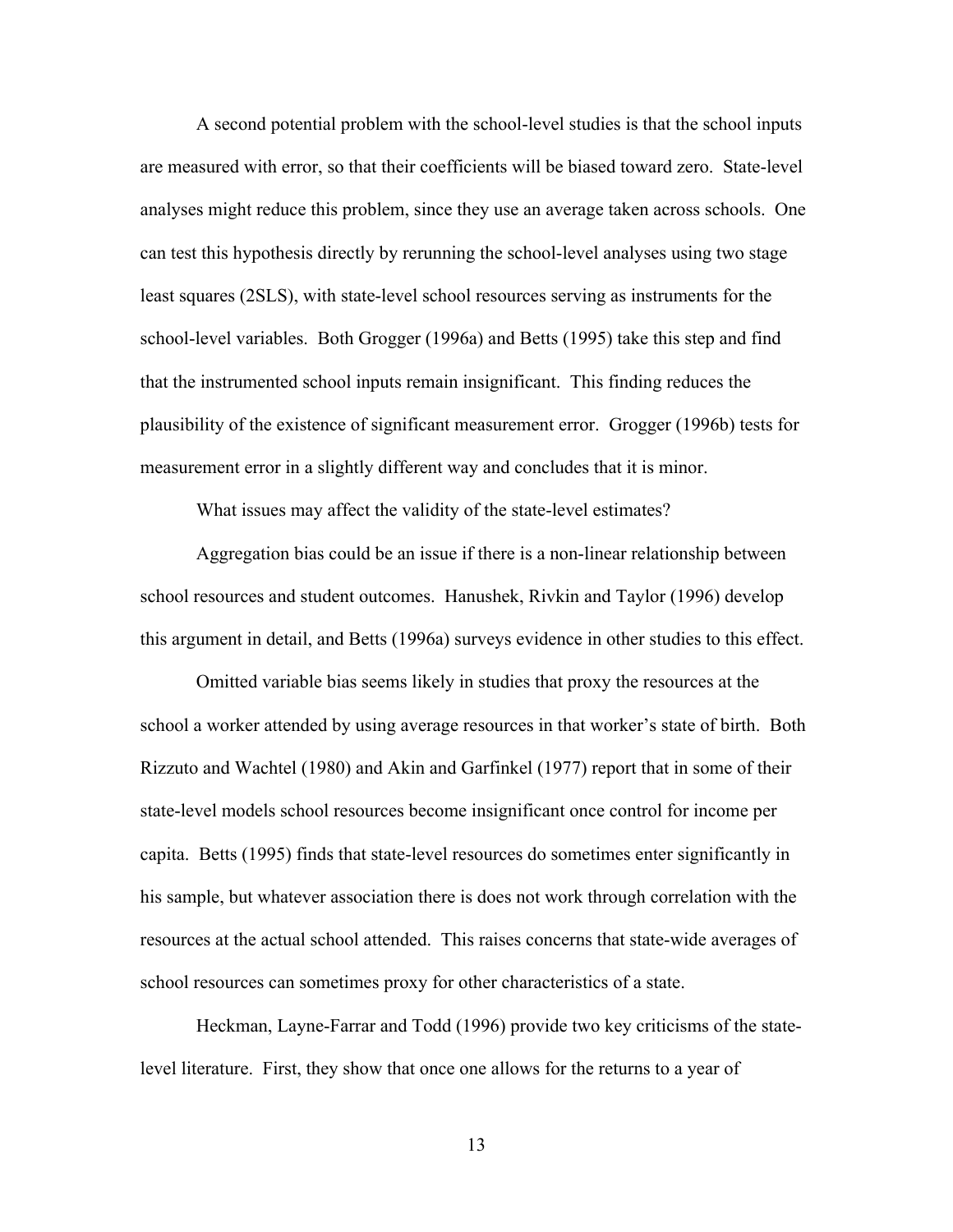A second potential problem with the school-level studies is that the school inputs are measured with error, so that their coefficients will be biased toward zero. State-level analyses might reduce this problem, since they use an average taken across schools. One can test this hypothesis directly by rerunning the school-level analyses using two stage least squares (2SLS), with state-level school resources serving as instruments for the school-level variables. Both Grogger (1996a) and Betts (1995) take this step and find that the instrumented school inputs remain insignificant. This finding reduces the plausibility of the existence of significant measurement error. Grogger (1996b) tests for measurement error in a slightly different way and concludes that it is minor.

What issues may affect the validity of the state-level estimates?

Aggregation bias could be an issue if there is a non-linear relationship between school resources and student outcomes. Hanushek, Rivkin and Taylor (1996) develop this argument in detail, and Betts (1996a) surveys evidence in other studies to this effect.

Omitted variable bias seems likely in studies that proxy the resources at the school a worker attended by using average resources in that worker's state of birth. Both Rizzuto and Wachtel (1980) and Akin and Garfinkel (1977) report that in some of their state-level models school resources become insignificant once control for income per capita. Betts (1995) finds that state-level resources do sometimes enter significantly in his sample, but whatever association there is does not work through correlation with the resources at the actual school attended. This raises concerns that state-wide averages of school resources can sometimes proxy for other characteristics of a state.

Heckman, Layne-Farrar and Todd (1996) provide two key criticisms of the statelevel literature. First, they show that once one allows for the returns to a year of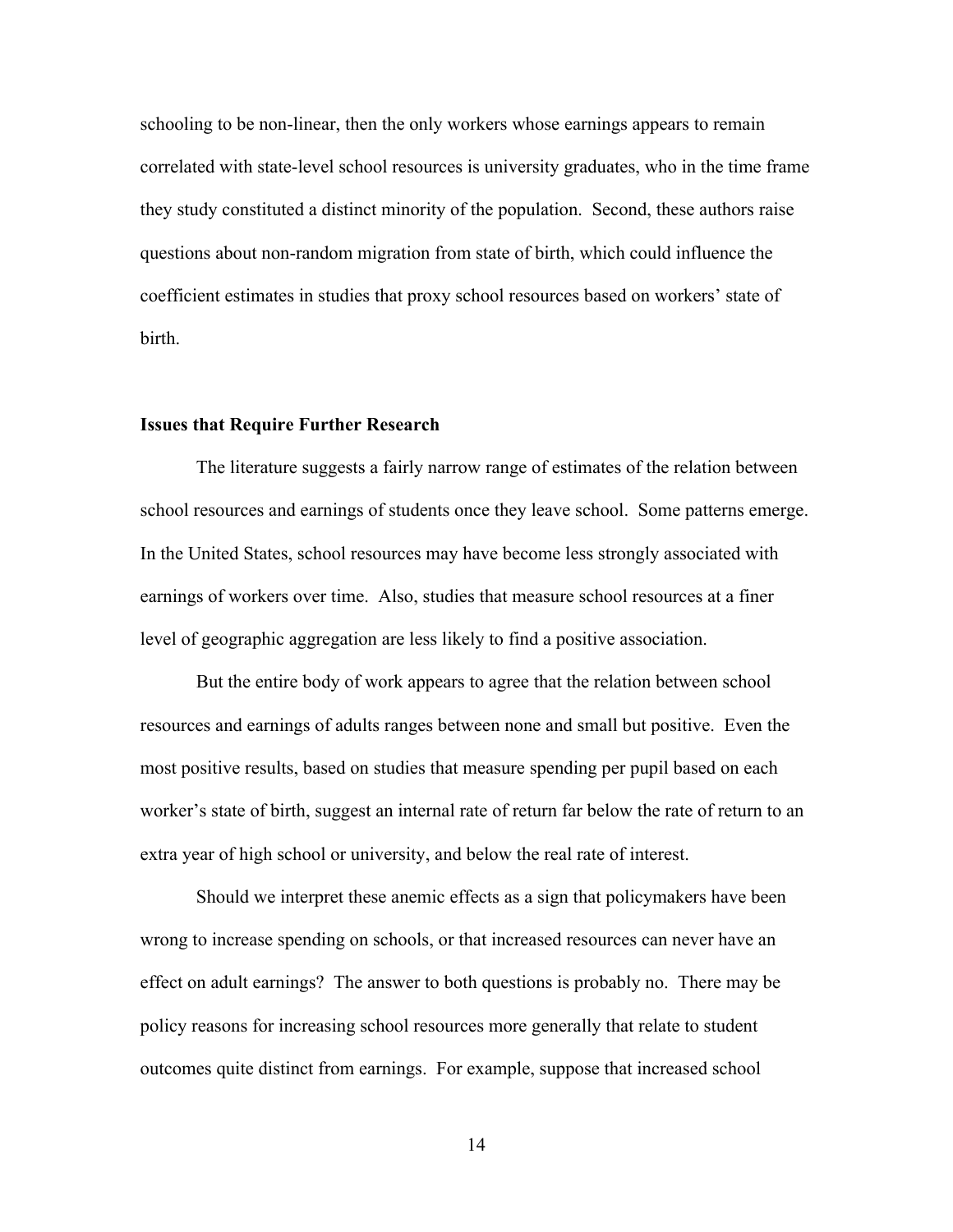schooling to be non-linear, then the only workers whose earnings appears to remain correlated with state-level school resources is university graduates, who in the time frame they study constituted a distinct minority of the population. Second, these authors raise questions about non-random migration from state of birth, which could influence the coefficient estimates in studies that proxy school resources based on workers' state of birth.

#### **Issues that Require Further Research**

The literature suggests a fairly narrow range of estimates of the relation between school resources and earnings of students once they leave school. Some patterns emerge. In the United States, school resources may have become less strongly associated with earnings of workers over time. Also, studies that measure school resources at a finer level of geographic aggregation are less likely to find a positive association.

But the entire body of work appears to agree that the relation between school resources and earnings of adults ranges between none and small but positive. Even the most positive results, based on studies that measure spending per pupil based on each worker's state of birth, suggest an internal rate of return far below the rate of return to an extra year of high school or university, and below the real rate of interest.

Should we interpret these anemic effects as a sign that policymakers have been wrong to increase spending on schools, or that increased resources can never have an effect on adult earnings? The answer to both questions is probably no. There may be policy reasons for increasing school resources more generally that relate to student outcomes quite distinct from earnings. For example, suppose that increased school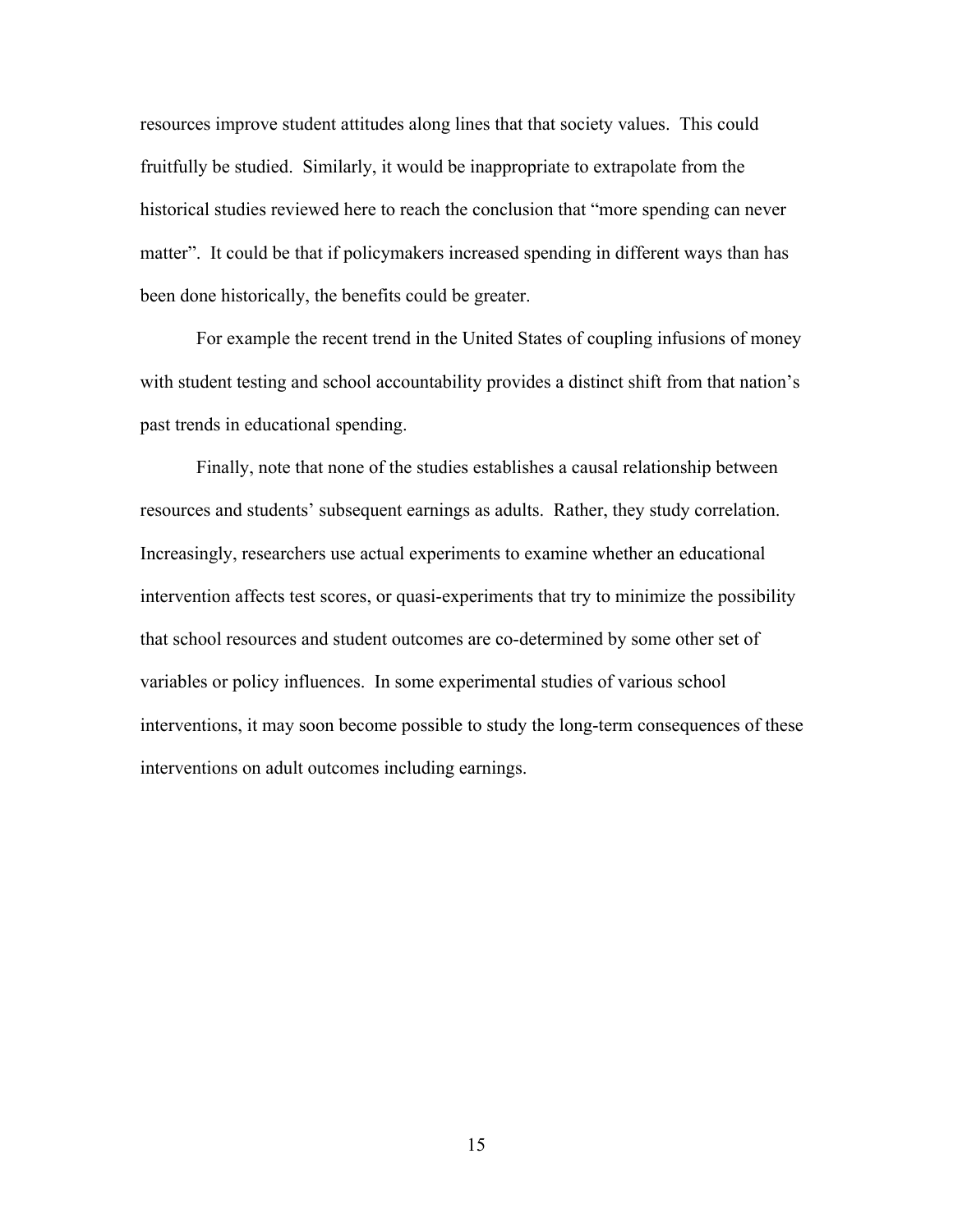resources improve student attitudes along lines that that society values. This could fruitfully be studied. Similarly, it would be inappropriate to extrapolate from the historical studies reviewed here to reach the conclusion that "more spending can never matter". It could be that if policymakers increased spending in different ways than has been done historically, the benefits could be greater.

For example the recent trend in the United States of coupling infusions of money with student testing and school accountability provides a distinct shift from that nation's past trends in educational spending.

Finally, note that none of the studies establishes a causal relationship between resources and students' subsequent earnings as adults. Rather, they study correlation. Increasingly, researchers use actual experiments to examine whether an educational intervention affects test scores, or quasi-experiments that try to minimize the possibility that school resources and student outcomes are co-determined by some other set of variables or policy influences. In some experimental studies of various school interventions, it may soon become possible to study the long-term consequences of these interventions on adult outcomes including earnings.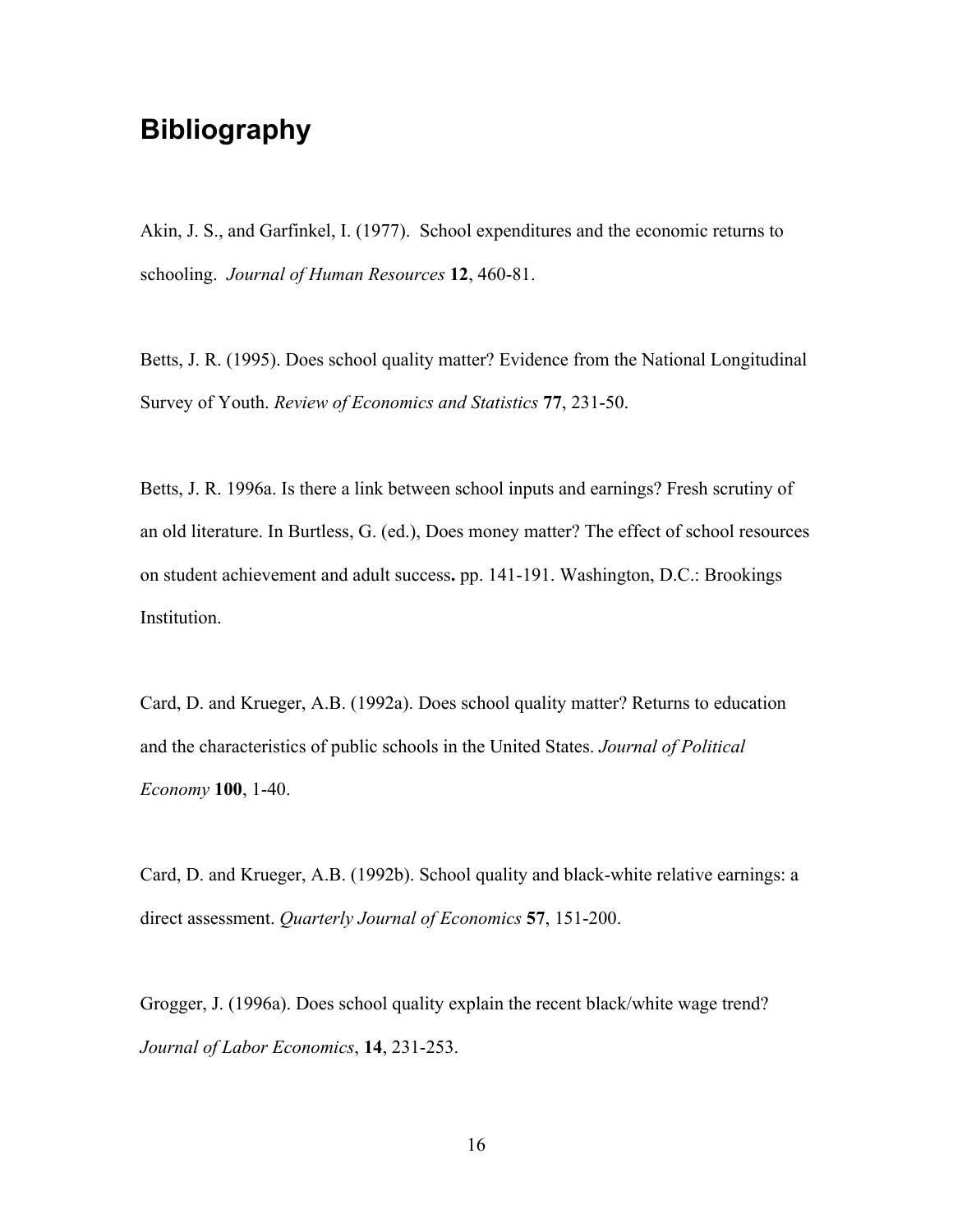# **Bibliography**

Akin, J. S., and Garfinkel, I. (1977). School expenditures and the economic returns to schooling. *Journal of Human Resources* **12**, 460-81.

Betts, J. R. (1995). Does school quality matter? Evidence from the National Longitudinal Survey of Youth. *Review of Economics and Statistics* **77**, 231-50.

Betts, J. R. 1996a. Is there a link between school inputs and earnings? Fresh scrutiny of an old literature. In Burtless, G. (ed.), Does money matter? The effect of school resources on student achievement and adult success**.** pp. 141-191. Washington, D.C.: Brookings Institution.

Card, D. and Krueger, A.B. (1992a). Does school quality matter? Returns to education and the characteristics of public schools in the United States. *Journal of Political Economy* **100**, 1-40.

Card, D. and Krueger, A.B. (1992b). School quality and black-white relative earnings: a direct assessment. *Quarterly Journal of Economics* **57**, 151-200.

Grogger, J. (1996a). Does school quality explain the recent black/white wage trend? *Journal of Labor Economics*, **14**, 231-253.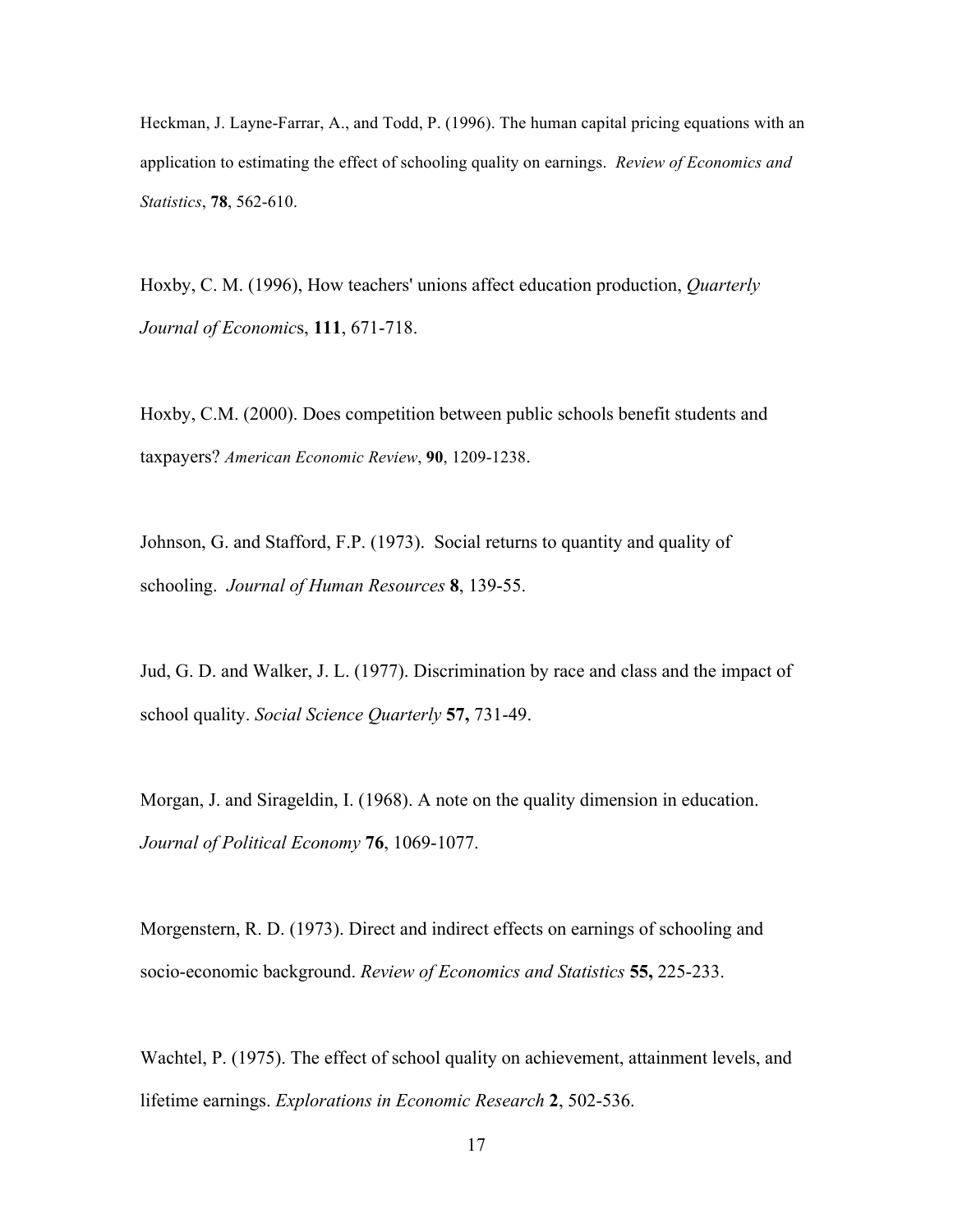Heckman, J. Layne-Farrar, A., and Todd, P. (1996). The human capital pricing equations with an application to estimating the effect of schooling quality on earnings. *Review of Economics and Statistics*, **78**, 562-610.

Hoxby, C. M. (1996), How teachers' unions affect education production, *Quarterly Journal of Economic*s, **111**, 671-718.

Hoxby, C.M. (2000). Does competition between public schools benefit students and taxpayers? *American Economic Review*, **90**, 1209-1238.

Johnson, G. and Stafford, F.P. (1973). Social returns to quantity and quality of schooling. *Journal of Human Resources* **8**, 139-55.

Jud, G. D. and Walker, J. L. (1977). Discrimination by race and class and the impact of school quality. *Social Science Quarterly* **57,** 731-49.

Morgan, J. and Sirageldin, I. (1968). A note on the quality dimension in education. *Journal of Political Economy* **76**, 1069-1077.

Morgenstern, R. D. (1973). Direct and indirect effects on earnings of schooling and socio-economic background. *Review of Economics and Statistics* **55,** 225-233.

Wachtel, P. (1975). The effect of school quality on achievement, attainment levels, and lifetime earnings. *Explorations in Economic Research* **2**, 502-536.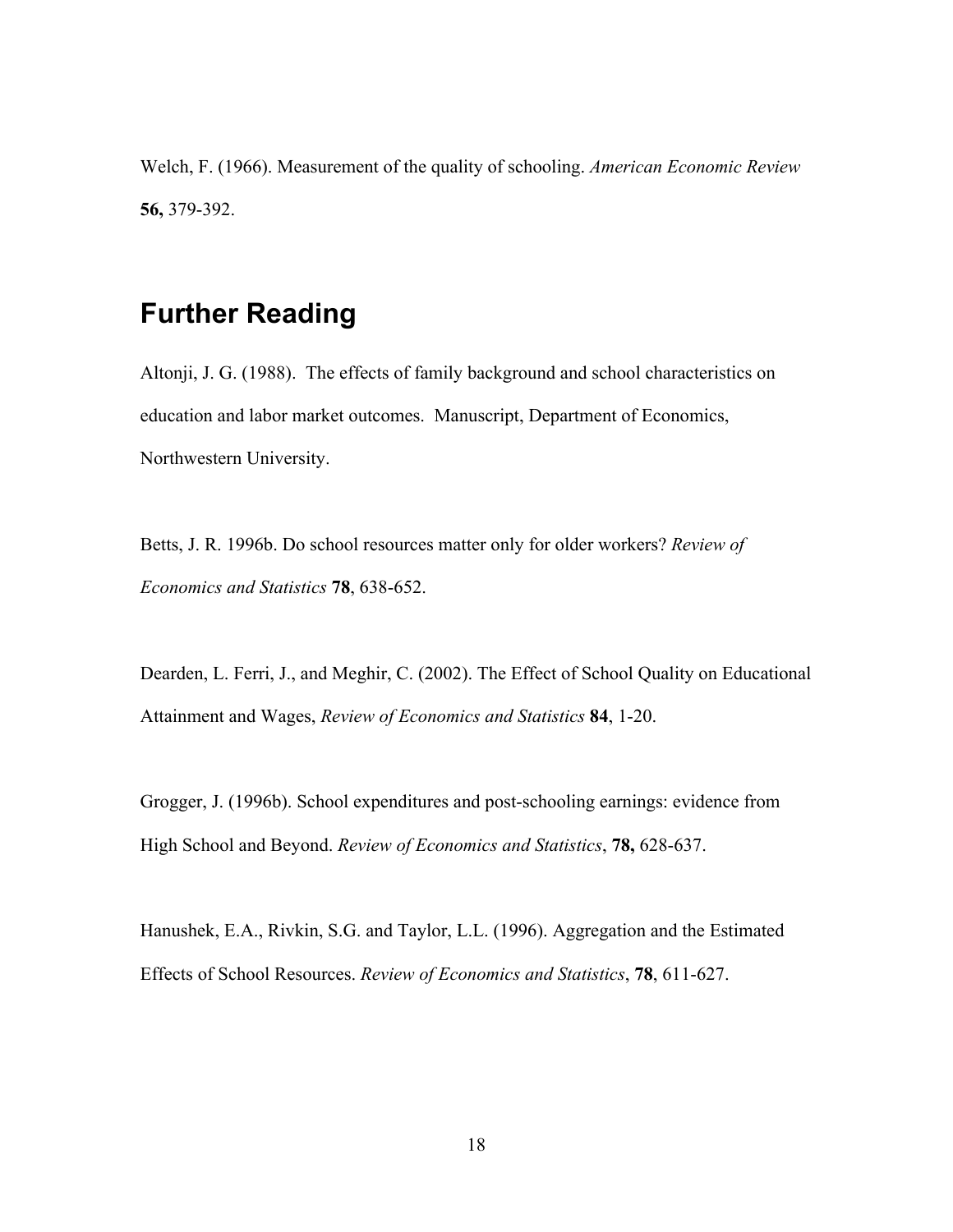Welch, F. (1966). Measurement of the quality of schooling. *American Economic Review* **56,** 379-392.

# **Further Reading**

Altonji, J. G. (1988). The effects of family background and school characteristics on education and labor market outcomes. Manuscript, Department of Economics, Northwestern University.

Betts, J. R. 1996b. Do school resources matter only for older workers? *Review of Economics and Statistics* **78**, 638-652.

Dearden, L. Ferri, J., and Meghir, C. (2002). The Effect of School Quality on Educational Attainment and Wages, *Review of Economics and Statistics* **84**, 1-20.

Grogger, J. (1996b). School expenditures and post-schooling earnings: evidence from High School and Beyond. *Review of Economics and Statistics*, **78,** 628-637.

Hanushek, E.A., Rivkin, S.G. and Taylor, L.L. (1996). Aggregation and the Estimated Effects of School Resources. *Review of Economics and Statistics*, **78**, 611-627.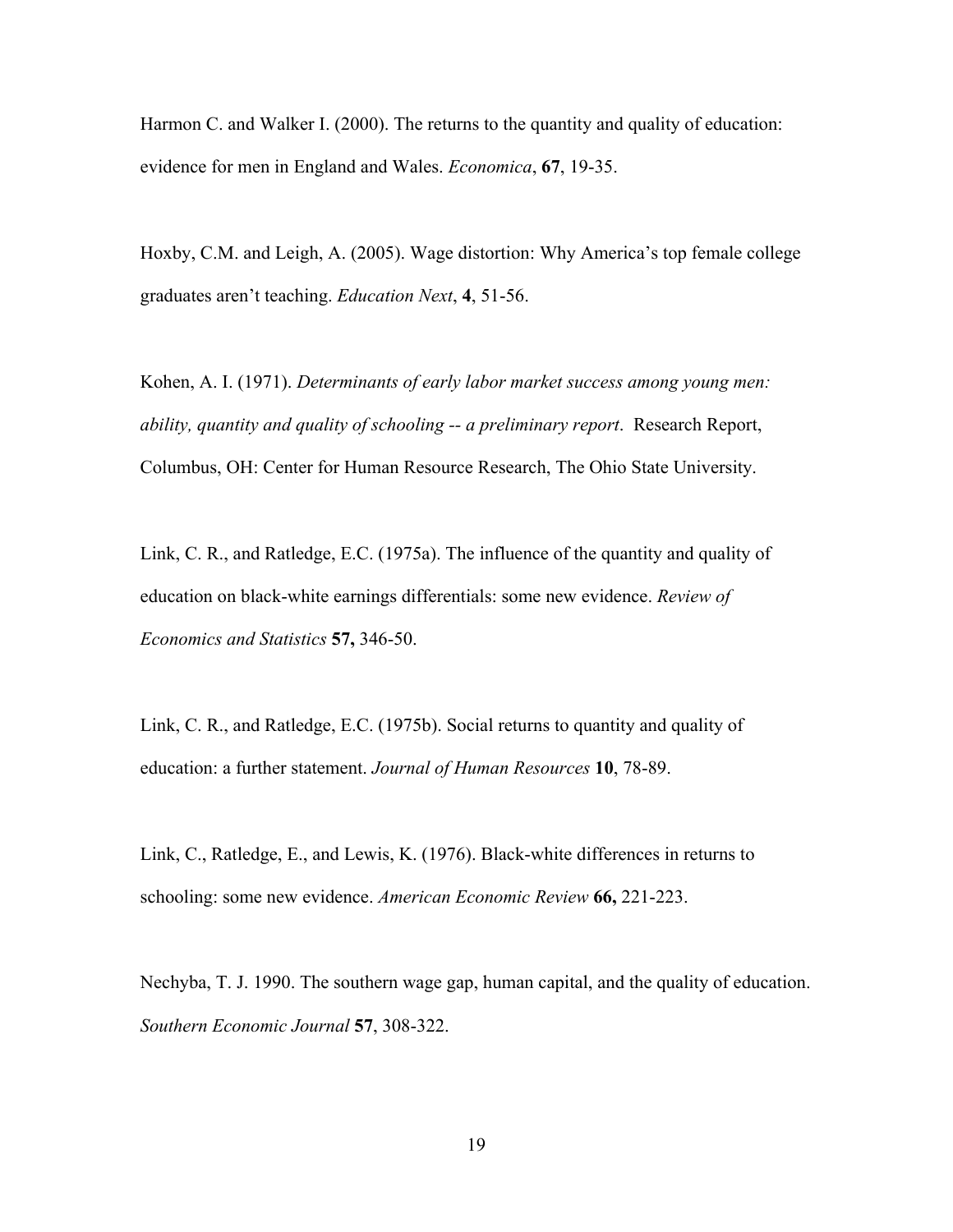Harmon C. and Walker I. (2000). The returns to the quantity and quality of education: evidence for men in England and Wales. *Economica*, **67**, 19-35.

Hoxby, C.M. and Leigh, A. (2005). Wage distortion: Why America's top female college graduates aren't teaching. *Education Next*, **4**, 51-56.

Kohen, A. I. (1971). *Determinants of early labor market success among young men: ability, quantity and quality of schooling -- a preliminary report*. Research Report, Columbus, OH: Center for Human Resource Research, The Ohio State University.

Link, C. R., and Ratledge, E.C. (1975a). The influence of the quantity and quality of education on black-white earnings differentials: some new evidence. *Review of Economics and Statistics* **57,** 346-50.

Link, C. R., and Ratledge, E.C. (1975b). Social returns to quantity and quality of education: a further statement. *Journal of Human Resources* **10**, 78-89.

Link, C., Ratledge, E., and Lewis, K. (1976). Black-white differences in returns to schooling: some new evidence. *American Economic Review* **66,** 221-223.

Nechyba, T. J. 1990. The southern wage gap, human capital, and the quality of education. *Southern Economic Journal* **57**, 308-322.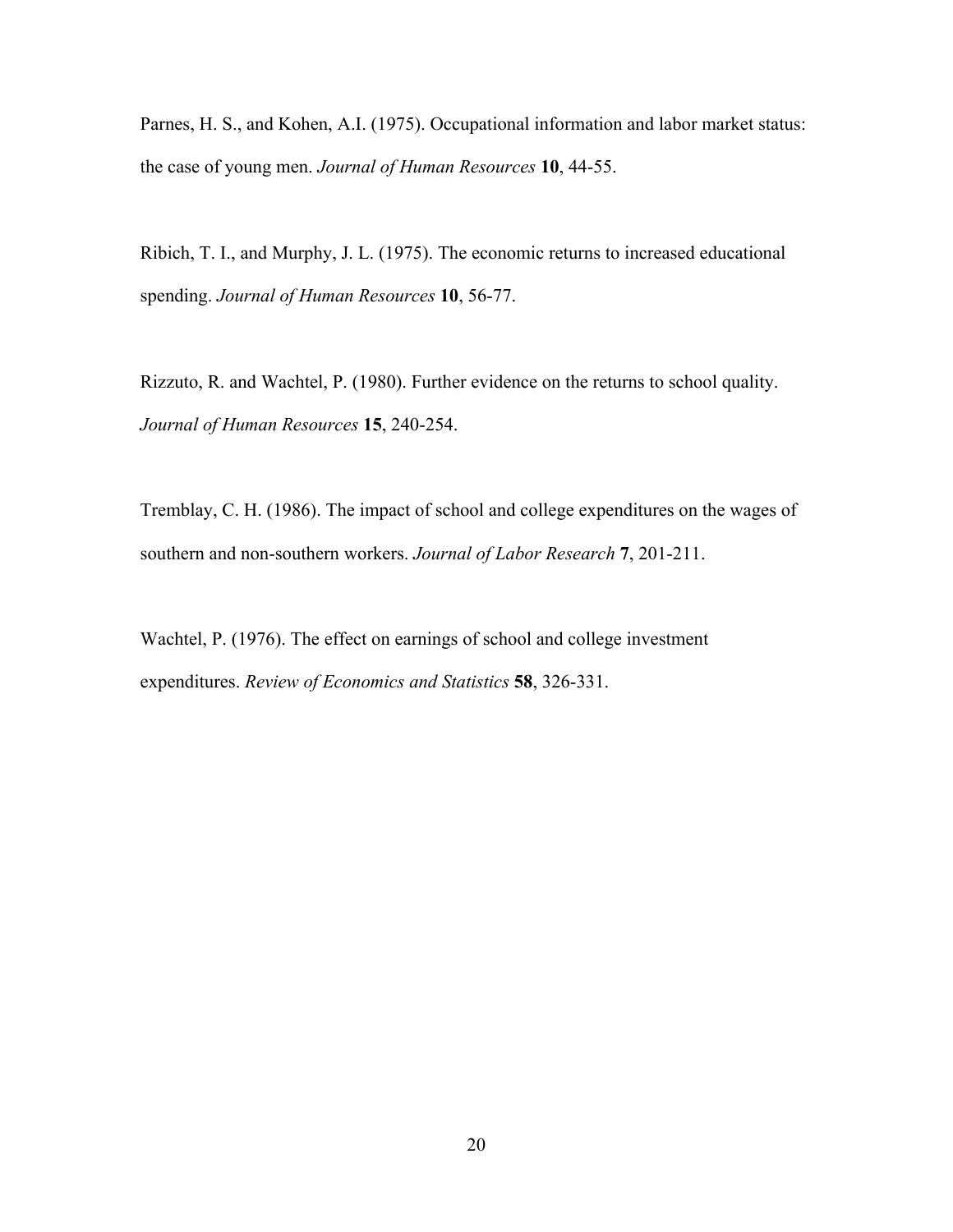Parnes, H. S., and Kohen, A.I. (1975). Occupational information and labor market status: the case of young men. *Journal of Human Resources* **10**, 44-55.

Ribich, T. I., and Murphy, J. L. (1975). The economic returns to increased educational spending. *Journal of Human Resources* **10**, 56-77.

Rizzuto, R. and Wachtel, P. (1980). Further evidence on the returns to school quality. *Journal of Human Resources* **15**, 240-254.

Tremblay, C. H. (1986). The impact of school and college expenditures on the wages of southern and non-southern workers. *Journal of Labor Research* **7**, 201-211.

Wachtel, P. (1976). The effect on earnings of school and college investment expenditures. *Review of Economics and Statistics* **58**, 326-331.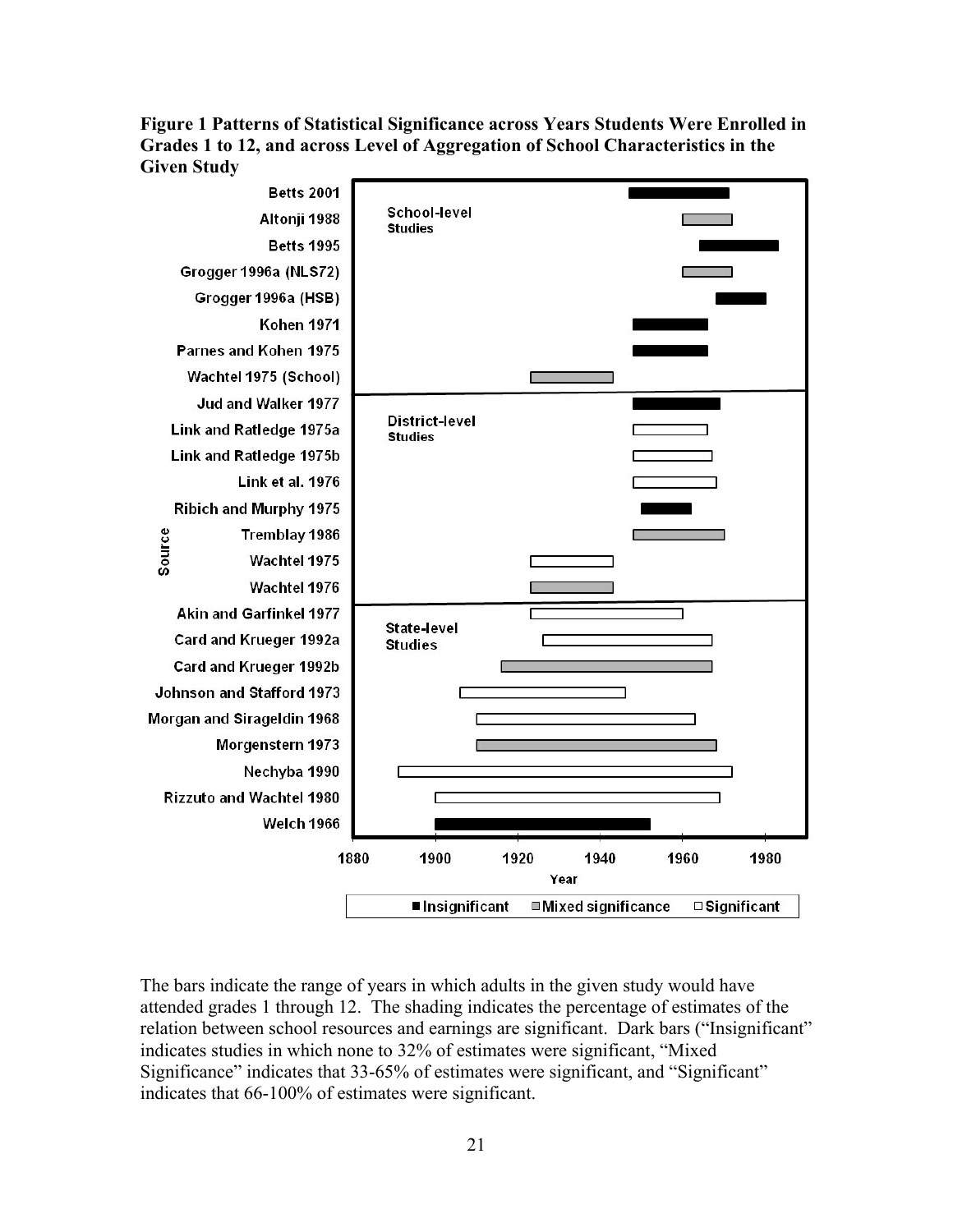# **Figure 1 Patterns of Statistical Significance across Years Students Were Enrolled in Grades 1 to 12, and across Level of Aggregation of School Characteristics in the Given Study**



The bars indicate the range of years in which adults in the given study would have attended grades 1 through 12. The shading indicates the percentage of estimates of the relation between school resources and earnings are significant. Dark bars ("Insignificant" indicates studies in which none to 32% of estimates were significant, "Mixed Significance" indicates that 33-65% of estimates were significant, and "Significant" indicates that 66-100% of estimates were significant.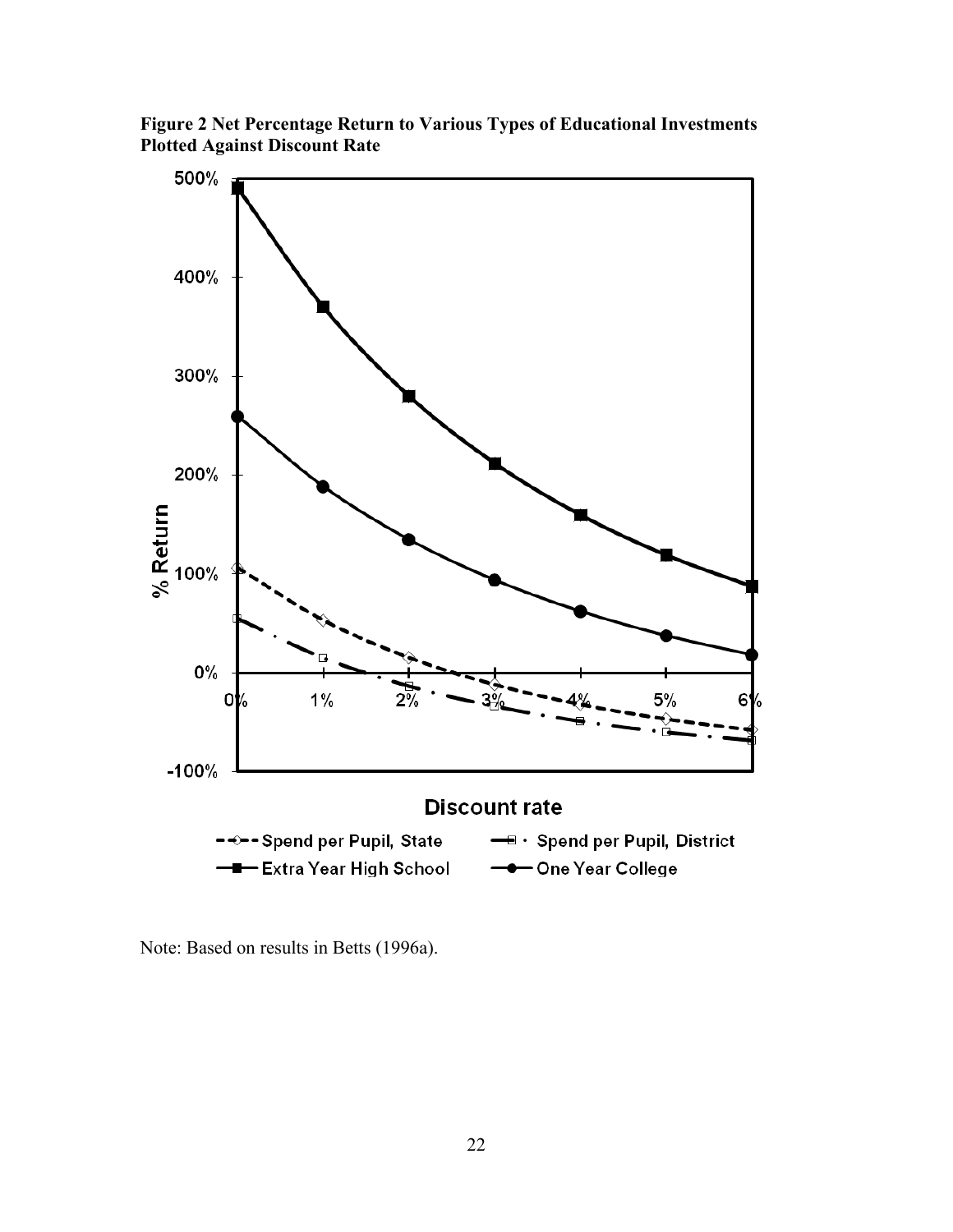**Figure 2 Net Percentage Return to Various Types of Educational Investments Plotted Against Discount Rate**



Note: Based on results in Betts (1996a).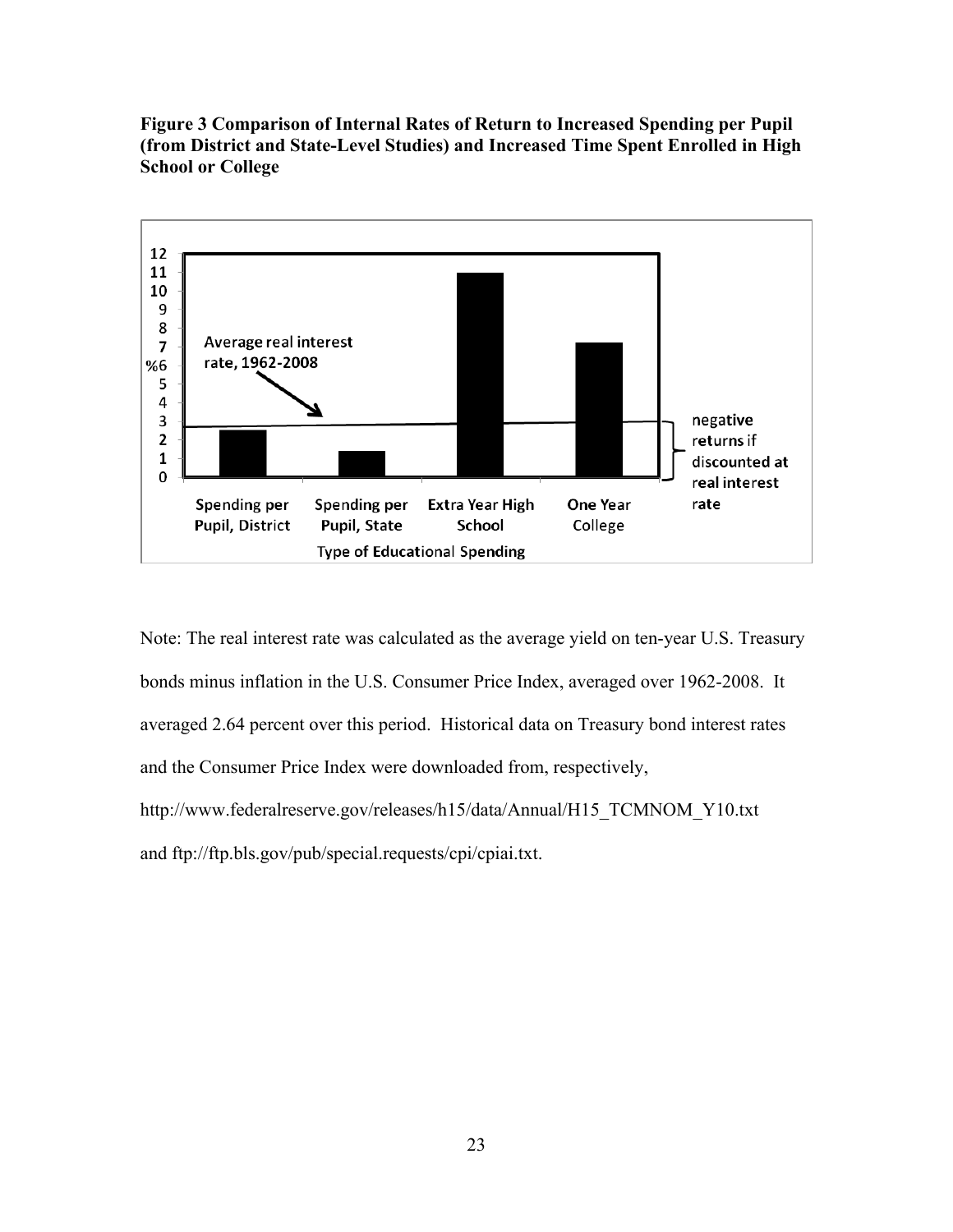**Figure 3 Comparison of Internal Rates of Return to Increased Spending per Pupil (from District and State-Level Studies) and Increased Time Spent Enrolled in High School or College**



Note: The real interest rate was calculated as the average yield on ten-year U.S. Treasury bonds minus inflation in the U.S. Consumer Price Index, averaged over 1962-2008. It averaged 2.64 percent over this period. Historical data on Treasury bond interest rates and the Consumer Price Index were downloaded from, respectively, http://www.federalreserve.gov/releases/h15/data/Annual/H15\_TCMNOM\_Y10.txt and ftp://ftp.bls.gov/pub/special.requests/cpi/cpiai.txt.